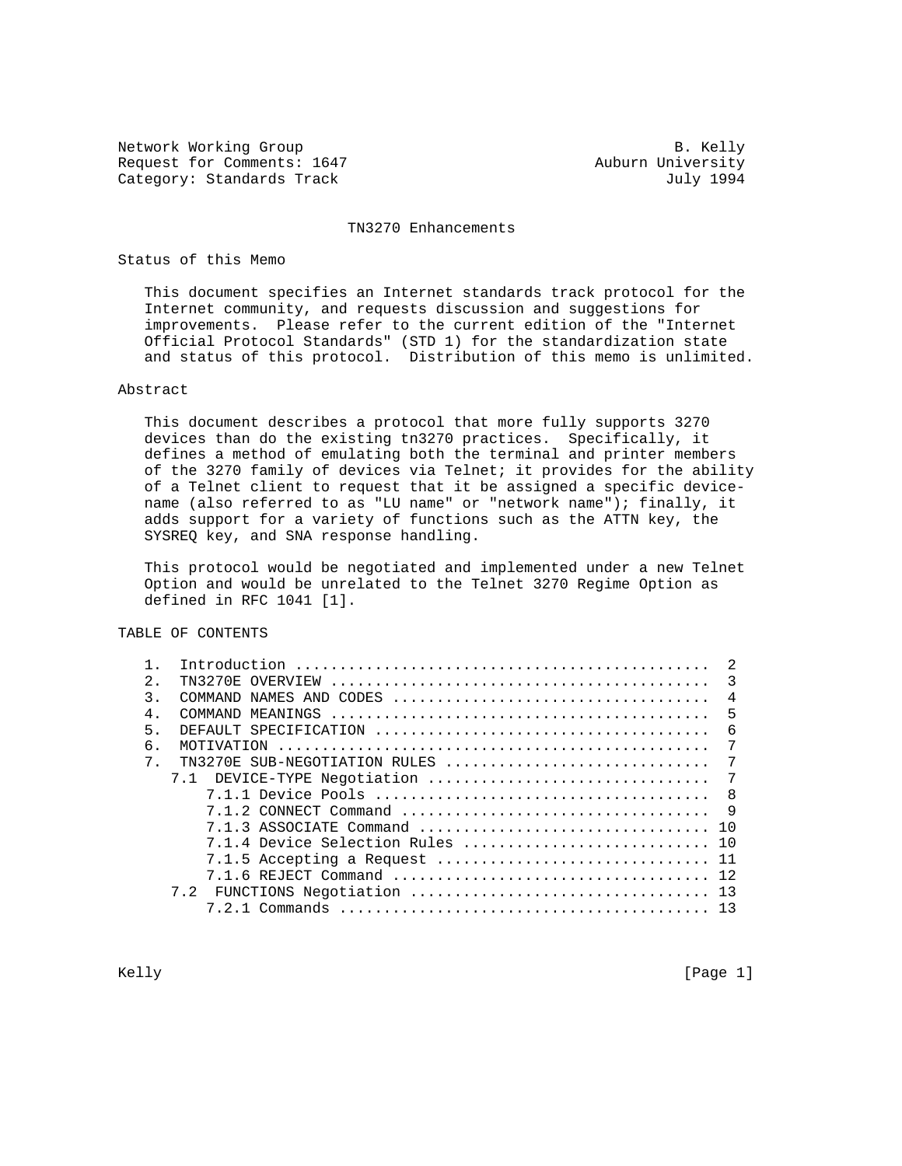Network Working Group and the set of the set of the set of the set of the set of the set of the set of the set of the set of the set of the set of the set of the set of the set of the set of the set of the set of the set o Request for Comments: 1647 Auburn University Category: Standards Track July 1994

#### TN3270 Enhancements

## Status of this Memo

 This document specifies an Internet standards track protocol for the Internet community, and requests discussion and suggestions for improvements. Please refer to the current edition of the "Internet Official Protocol Standards" (STD 1) for the standardization state and status of this protocol. Distribution of this memo is unlimited.

### Abstract

 This document describes a protocol that more fully supports 3270 devices than do the existing tn3270 practices. Specifically, it defines a method of emulating both the terminal and printer members of the 3270 family of devices via Telnet; it provides for the ability of a Telnet client to request that it be assigned a specific device name (also referred to as "LU name" or "network name"); finally, it adds support for a variety of functions such as the ATTN key, the SYSREQ key, and SNA response handling.

 This protocol would be negotiated and implemented under a new Telnet Option and would be unrelated to the Telnet 3270 Regime Option as defined in RFC 1041 [1].

# TABLE OF CONTENTS

| $\mathfrak{D}$ . |                                  | $\overline{\phantom{a}}$ |
|------------------|----------------------------------|--------------------------|
| २                |                                  | $\overline{4}$           |
| 4 <sup>1</sup>   |                                  | 5                        |
| 5                |                                  | - 6                      |
| 6.               | MOTIVATION                       | 7                        |
| $7$ .            | TN3270E SUB-NEGOTIATION RULES    | $7\phantom{.0}$          |
|                  | 7.1 DEVICE-TYPE Negotiation      | $\overline{7}$           |
|                  |                                  |                          |
|                  |                                  | $\overline{9}$           |
|                  |                                  |                          |
|                  | 7.1.4 Device Selection Rules  10 |                          |
|                  |                                  |                          |
|                  |                                  |                          |
|                  |                                  |                          |
|                  |                                  |                          |
|                  |                                  |                          |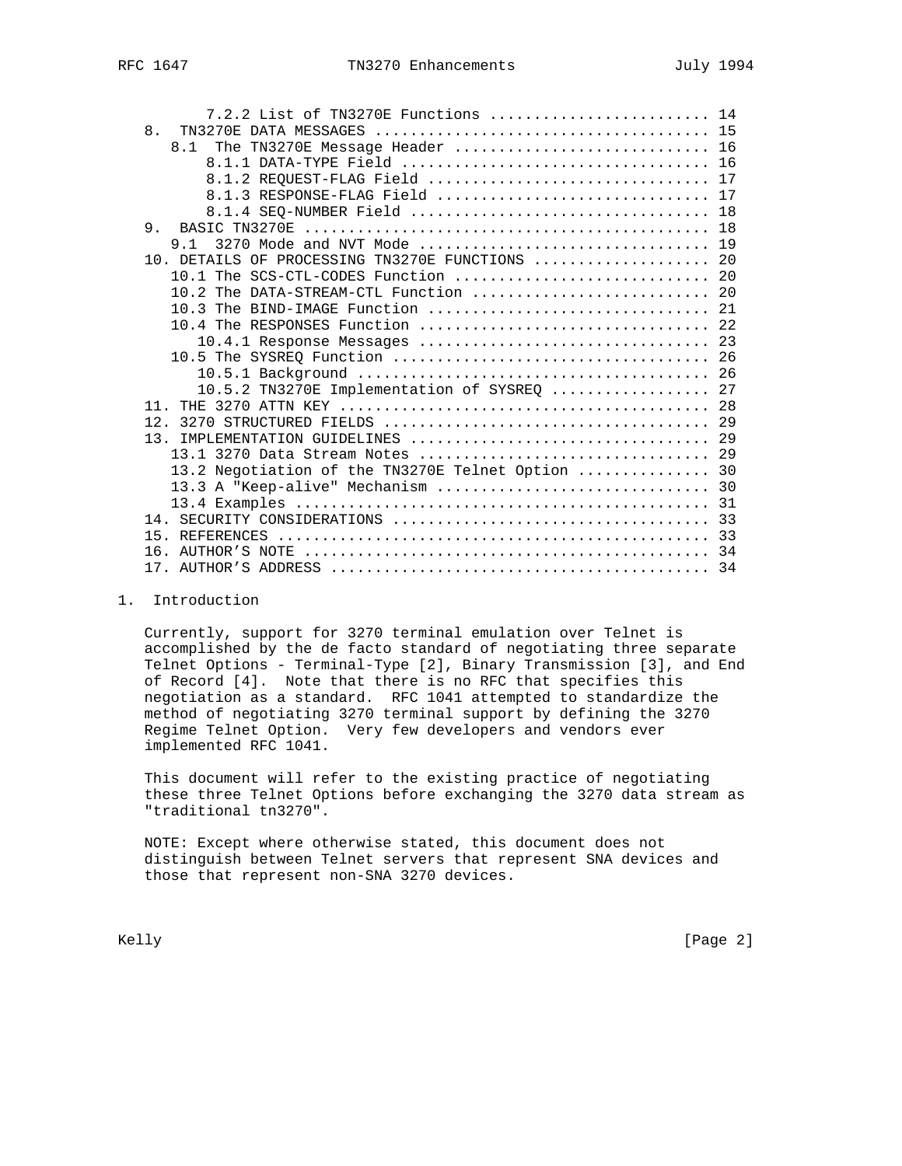| RFC 1647 |
|----------|
|----------|

| 7.2.2 List of TN3270E Functions  14               |  |
|---------------------------------------------------|--|
| 8.                                                |  |
| 8.1 The TN3270E Message Header  16                |  |
|                                                   |  |
| 8.1.2 REQUEST-FLAG Field  17                      |  |
| 8.1.3 RESPONSE-FLAG Field  17                     |  |
|                                                   |  |
|                                                   |  |
| 9 1                                               |  |
| 10. DETAILS OF PROCESSING TN3270E FUNCTIONS  20   |  |
| 10.1 The SCS-CTL-CODES Function  20               |  |
|                                                   |  |
|                                                   |  |
| 10.4 The RESPONSES Function  22                   |  |
|                                                   |  |
|                                                   |  |
|                                                   |  |
| 10.5.2 TN3270E Implementation of SYSREQ  27       |  |
|                                                   |  |
| 12.                                               |  |
|                                                   |  |
|                                                   |  |
| 13.2 Negotiation of the TN3270E Telnet Option  30 |  |
|                                                   |  |
|                                                   |  |
|                                                   |  |
|                                                   |  |
|                                                   |  |
|                                                   |  |
|                                                   |  |

# 1. Introduction

 Currently, support for 3270 terminal emulation over Telnet is accomplished by the de facto standard of negotiating three separate Telnet Options - Terminal-Type [2], Binary Transmission [3], and End of Record [4]. Note that there is no RFC that specifies this negotiation as a standard. RFC 1041 attempted to standardize the method of negotiating 3270 terminal support by defining the 3270 Regime Telnet Option. Very few developers and vendors ever implemented RFC 1041.

 This document will refer to the existing practice of negotiating these three Telnet Options before exchanging the 3270 data stream as "traditional tn3270".

 NOTE: Except where otherwise stated, this document does not distinguish between Telnet servers that represent SNA devices and those that represent non-SNA 3270 devices.

Kelly [Page 2]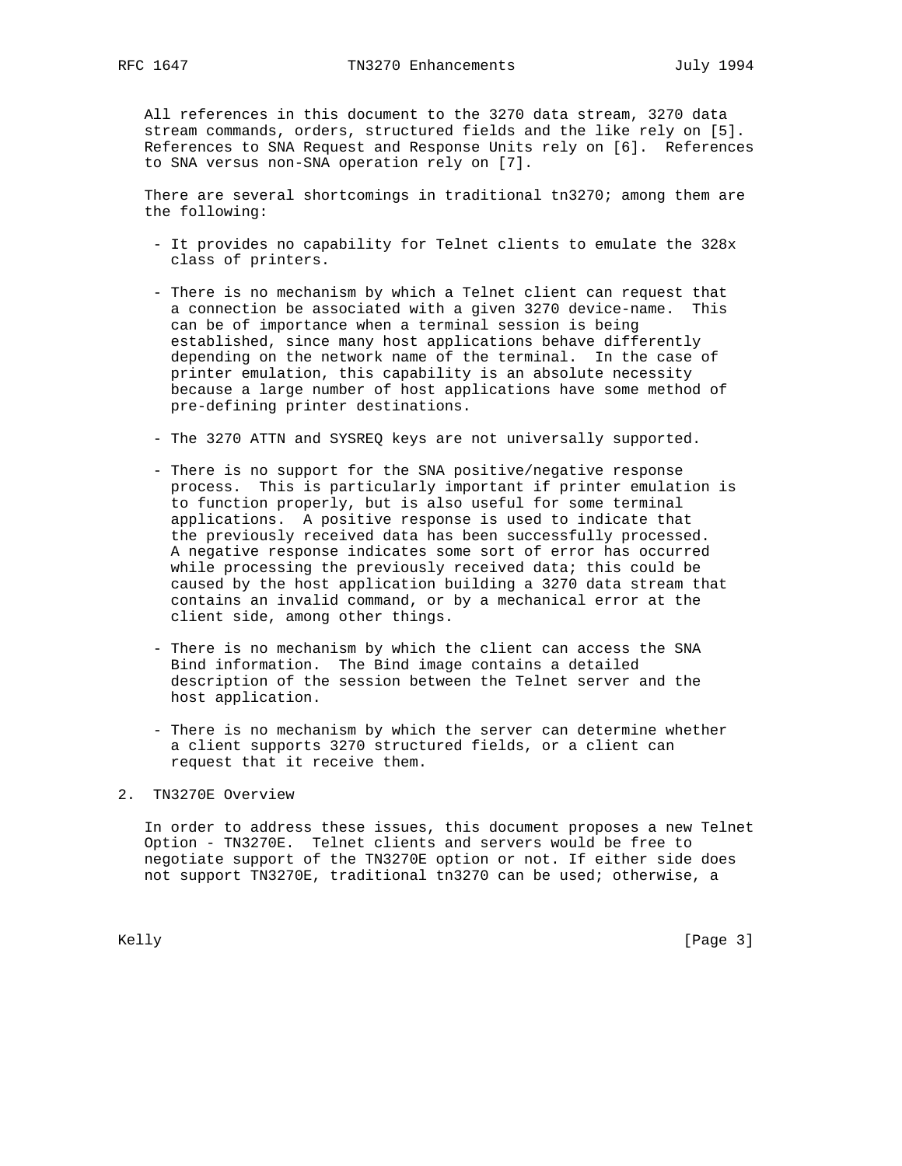All references in this document to the 3270 data stream, 3270 data stream commands, orders, structured fields and the like rely on [5]. References to SNA Request and Response Units rely on [6]. References to SNA versus non-SNA operation rely on [7].

 There are several shortcomings in traditional tn3270; among them are the following:

- It provides no capability for Telnet clients to emulate the 328x class of printers.
- There is no mechanism by which a Telnet client can request that a connection be associated with a given 3270 device-name. This can be of importance when a terminal session is being established, since many host applications behave differently depending on the network name of the terminal. In the case of printer emulation, this capability is an absolute necessity because a large number of host applications have some method of pre-defining printer destinations.
- The 3270 ATTN and SYSREQ keys are not universally supported.
- There is no support for the SNA positive/negative response process. This is particularly important if printer emulation is to function properly, but is also useful for some terminal applications. A positive response is used to indicate that the previously received data has been successfully processed. A negative response indicates some sort of error has occurred while processing the previously received data; this could be caused by the host application building a 3270 data stream that contains an invalid command, or by a mechanical error at the client side, among other things.
- There is no mechanism by which the client can access the SNA Bind information. The Bind image contains a detailed description of the session between the Telnet server and the host application.
- There is no mechanism by which the server can determine whether a client supports 3270 structured fields, or a client can request that it receive them.

# 2. TN3270E Overview

 In order to address these issues, this document proposes a new Telnet Option - TN3270E. Telnet clients and servers would be free to negotiate support of the TN3270E option or not. If either side does not support TN3270E, traditional tn3270 can be used; otherwise, a

Kelly [Page 3]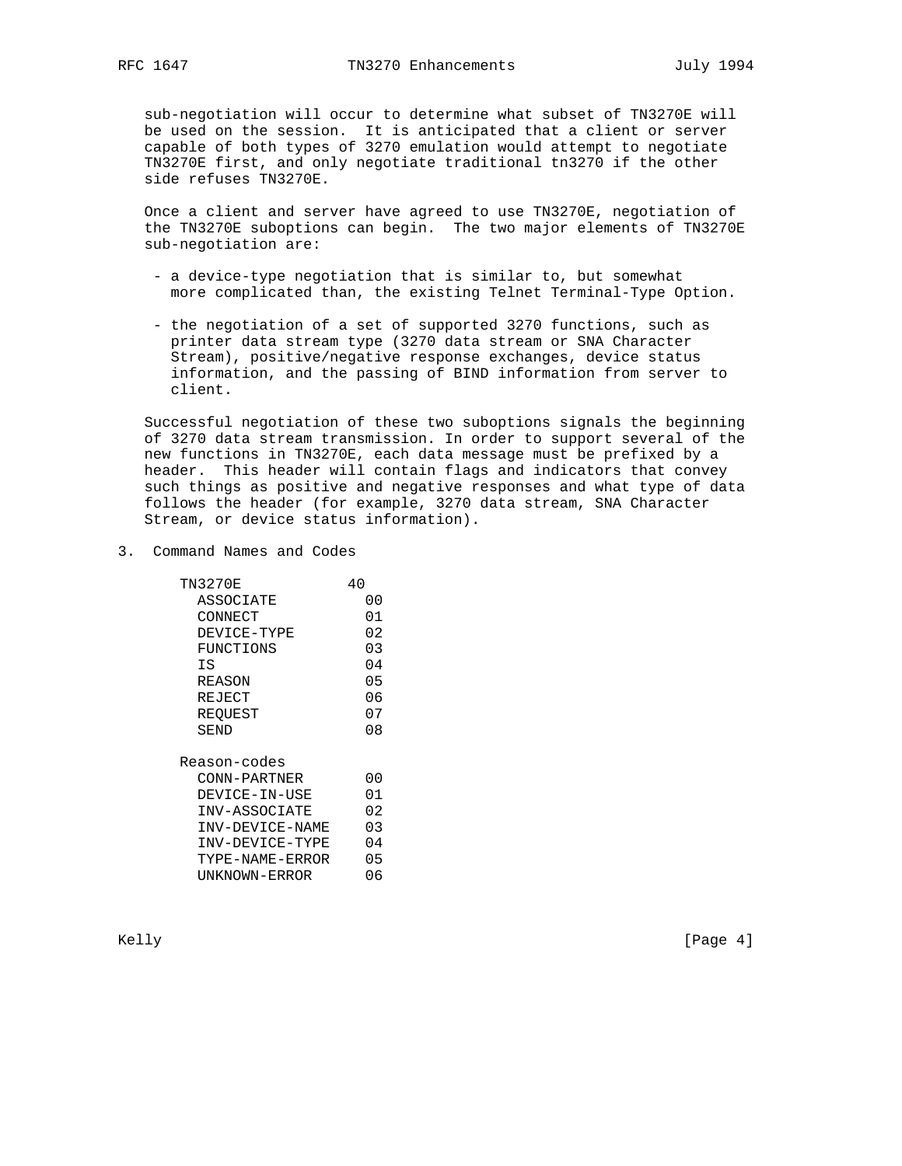sub-negotiation will occur to determine what subset of TN3270E will be used on the session. It is anticipated that a client or server capable of both types of 3270 emulation would attempt to negotiate TN3270E first, and only negotiate traditional tn3270 if the other side refuses TN3270E.

 Once a client and server have agreed to use TN3270E, negotiation of the TN3270E suboptions can begin. The two major elements of TN3270E sub-negotiation are:

- a device-type negotiation that is similar to, but somewhat more complicated than, the existing Telnet Terminal-Type Option.
- the negotiation of a set of supported 3270 functions, such as printer data stream type (3270 data stream or SNA Character Stream), positive/negative response exchanges, device status information, and the passing of BIND information from server to client.

 Successful negotiation of these two suboptions signals the beginning of 3270 data stream transmission. In order to support several of the new functions in TN3270E, each data message must be prefixed by a header. This header will contain flags and indicators that convey such things as positive and negative responses and what type of data follows the header (for example, 3270 data stream, SNA Character Stream, or device status information).

3. Command Names and Codes

| TN3270E         | 40  |
|-----------------|-----|
| ASSOCIATE       | იი  |
| CONNECT         | 01  |
| DEVICE-TYPE     | 02  |
| FUNCTIONS       | 03  |
| ΙS              | 04  |
| REASON          | 05  |
| REJECT          | 06  |
| REQUEST         | 07  |
| SEND            | 08  |
| Reason-codes    |     |
| CONN-PARTNER    | იი  |
| DEVICE-IN-USE   | 01  |
| INV-ASSOCIATE   | 02  |
| INV-DEVICE-NAME | 03  |
| INV-DEVICE-TYPE | 04  |
| TYPE-NAME-ERROR | 05  |
| UNKNOWN-ERROR   | ი 6 |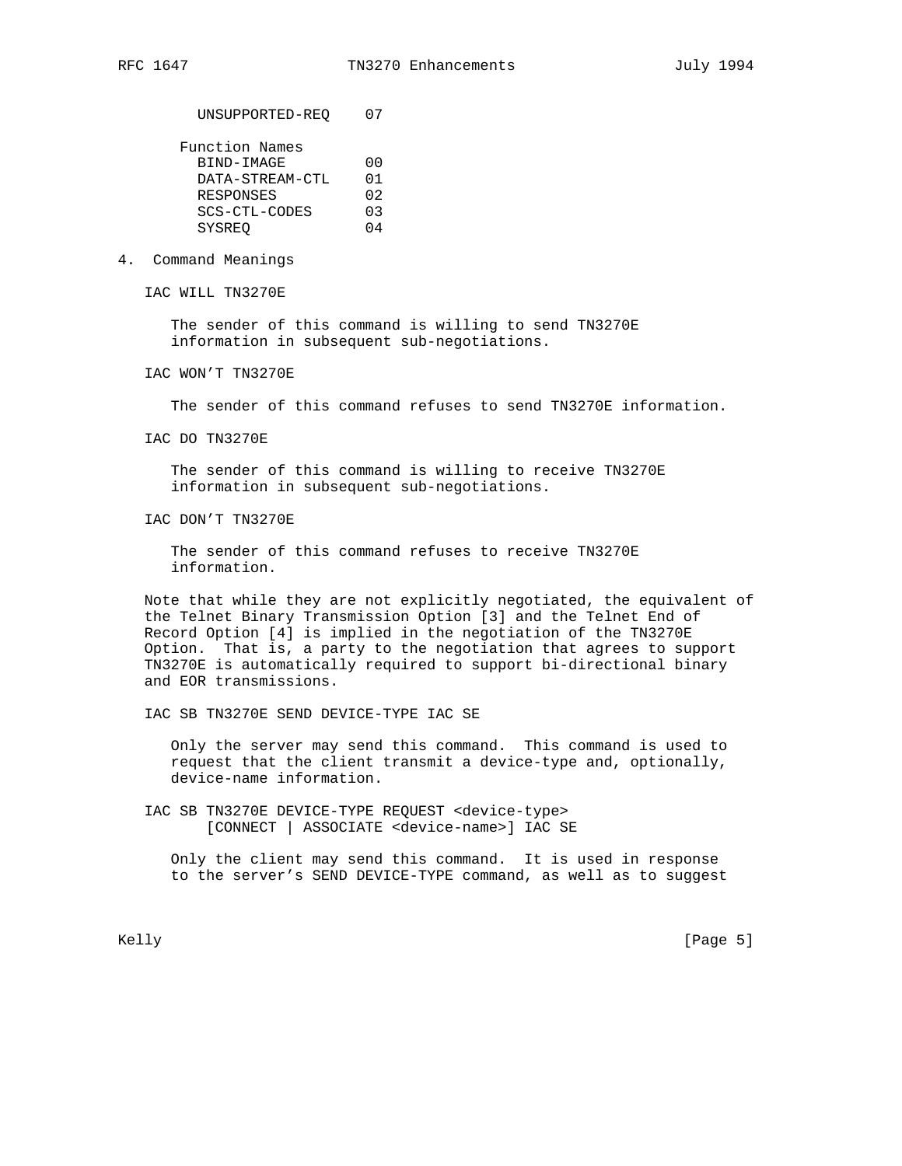UNSUPPORTED-REQ 07

4. Command Meanings

IAC WILL TN3270E

 The sender of this command is willing to send TN3270E information in subsequent sub-negotiations.

IAC WON'T TN3270E

The sender of this command refuses to send TN3270E information.

IAC DO TN3270E

 The sender of this command is willing to receive TN3270E information in subsequent sub-negotiations.

IAC DON'T TN3270E

 The sender of this command refuses to receive TN3270E information.

 Note that while they are not explicitly negotiated, the equivalent of the Telnet Binary Transmission Option [3] and the Telnet End of Record Option [4] is implied in the negotiation of the TN3270E Option. That is, a party to the negotiation that agrees to support TN3270E is automatically required to support bi-directional binary and EOR transmissions.

IAC SB TN3270E SEND DEVICE-TYPE IAC SE

 Only the server may send this command. This command is used to request that the client transmit a device-type and, optionally, device-name information.

 IAC SB TN3270E DEVICE-TYPE REQUEST <device-type> [CONNECT | ASSOCIATE <device-name>] IAC SE

 Only the client may send this command. It is used in response to the server's SEND DEVICE-TYPE command, as well as to suggest

Kelly [Page 5]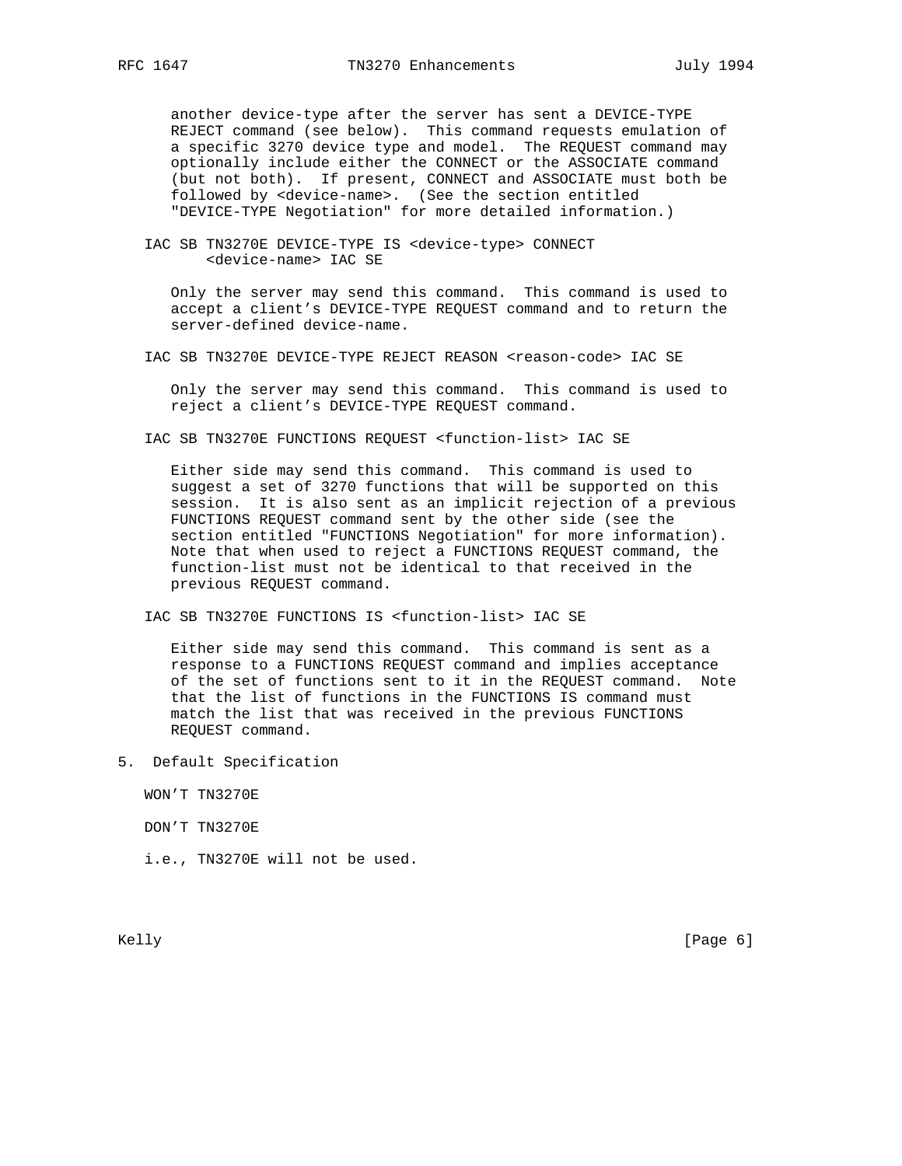another device-type after the server has sent a DEVICE-TYPE REJECT command (see below). This command requests emulation of a specific 3270 device type and model. The REQUEST command may optionally include either the CONNECT or the ASSOCIATE command (but not both). If present, CONNECT and ASSOCIATE must both be followed by <device-name>. (See the section entitled "DEVICE-TYPE Negotiation" for more detailed information.)

 IAC SB TN3270E DEVICE-TYPE IS <device-type> CONNECT <device-name> IAC SE

 Only the server may send this command. This command is used to accept a client's DEVICE-TYPE REQUEST command and to return the server-defined device-name.

IAC SB TN3270E DEVICE-TYPE REJECT REASON <reason-code> IAC SE

 Only the server may send this command. This command is used to reject a client's DEVICE-TYPE REQUEST command.

IAC SB TN3270E FUNCTIONS REQUEST <function-list> IAC SE

 Either side may send this command. This command is used to suggest a set of 3270 functions that will be supported on this session. It is also sent as an implicit rejection of a previous FUNCTIONS REQUEST command sent by the other side (see the section entitled "FUNCTIONS Negotiation" for more information). Note that when used to reject a FUNCTIONS REQUEST command, the function-list must not be identical to that received in the previous REQUEST command.

IAC SB TN3270E FUNCTIONS IS <function-list> IAC SE

 Either side may send this command. This command is sent as a response to a FUNCTIONS REQUEST command and implies acceptance of the set of functions sent to it in the REQUEST command. Note that the list of functions in the FUNCTIONS IS command must match the list that was received in the previous FUNCTIONS REQUEST command.

5. Default Specification

WON'T TN3270E

DON'T TN3270E

i.e., TN3270E will not be used.

Kelly [Page 6] [Page 6] [Page 6] [Page 6] [Page 6] [Page 6] [Page 6] [Page 6] [Page 6] [Page 6] [Page 6] [Page 6] [Page 6] [Page 6] [Page 6] [Page 6] [Page 6] [Page 6] [Page 6] [Page 6] [Page 6] [Page 6] [Page 6] [Page 6]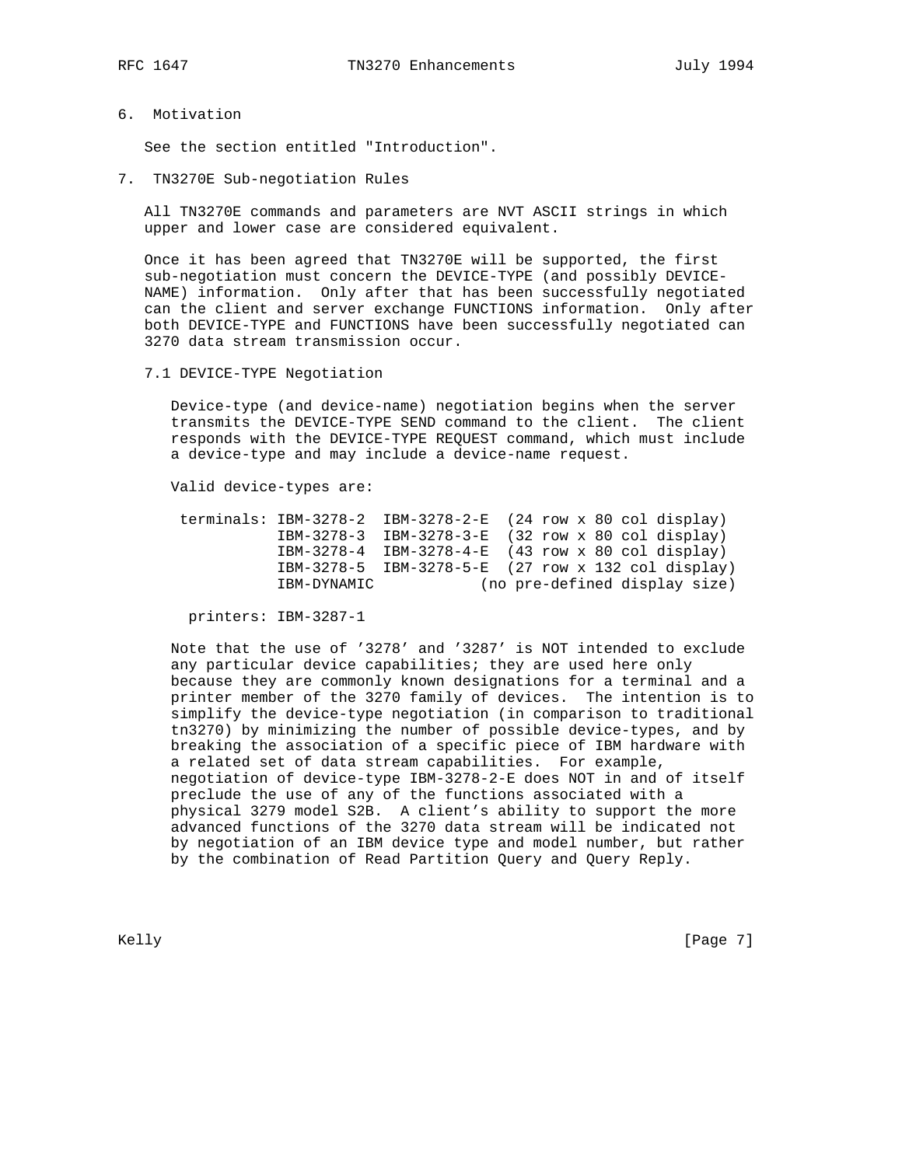6. Motivation

See the section entitled "Introduction".

7. TN3270E Sub-negotiation Rules

 All TN3270E commands and parameters are NVT ASCII strings in which upper and lower case are considered equivalent.

 Once it has been agreed that TN3270E will be supported, the first sub-negotiation must concern the DEVICE-TYPE (and possibly DEVICE- NAME) information. Only after that has been successfully negotiated can the client and server exchange FUNCTIONS information. Only after both DEVICE-TYPE and FUNCTIONS have been successfully negotiated can 3270 data stream transmission occur.

7.1 DEVICE-TYPE Negotiation

 Device-type (and device-name) negotiation begins when the server transmits the DEVICE-TYPE SEND command to the client. The client responds with the DEVICE-TYPE REQUEST command, which must include a device-type and may include a device-name request.

Valid device-types are:

|             | terminals: $IBM-3278-2$ IBM-3278-2-E (24 row x 80 col display) |  |  |                               |
|-------------|----------------------------------------------------------------|--|--|-------------------------------|
|             | IBM-3278-3 IBM-3278-3-E (32 row x 80 col display)              |  |  |                               |
|             | $IBM-3278-4$ IBM-3278-4-E $(43$ row x 80 col display)          |  |  |                               |
|             | IBM-3278-5 IBM-3278-5-E (27 row x 132 col display)             |  |  |                               |
| IBM-DYNAMIC |                                                                |  |  | (no pre-defined display size) |

printers: IBM-3287-1

 Note that the use of '3278' and '3287' is NOT intended to exclude any particular device capabilities; they are used here only because they are commonly known designations for a terminal and a printer member of the 3270 family of devices. The intention is to simplify the device-type negotiation (in comparison to traditional tn3270) by minimizing the number of possible device-types, and by breaking the association of a specific piece of IBM hardware with a related set of data stream capabilities. For example, negotiation of device-type IBM-3278-2-E does NOT in and of itself preclude the use of any of the functions associated with a physical 3279 model S2B. A client's ability to support the more advanced functions of the 3270 data stream will be indicated not by negotiation of an IBM device type and model number, but rather by the combination of Read Partition Query and Query Reply.

Kelly [Page 7] [Page 7] [Page 7] [Page 7] [Page 7] [Page 7] [Page 7] [Page 7] [Page 7] [Page 7] [Page 7] [Page 7] [Page 7] [Page 7] [Page 7] [Page 7] [Page 7] [Page 7] [Page 7] [Page 7] [Page 7] [Page 7] [Page 7] [Page 7]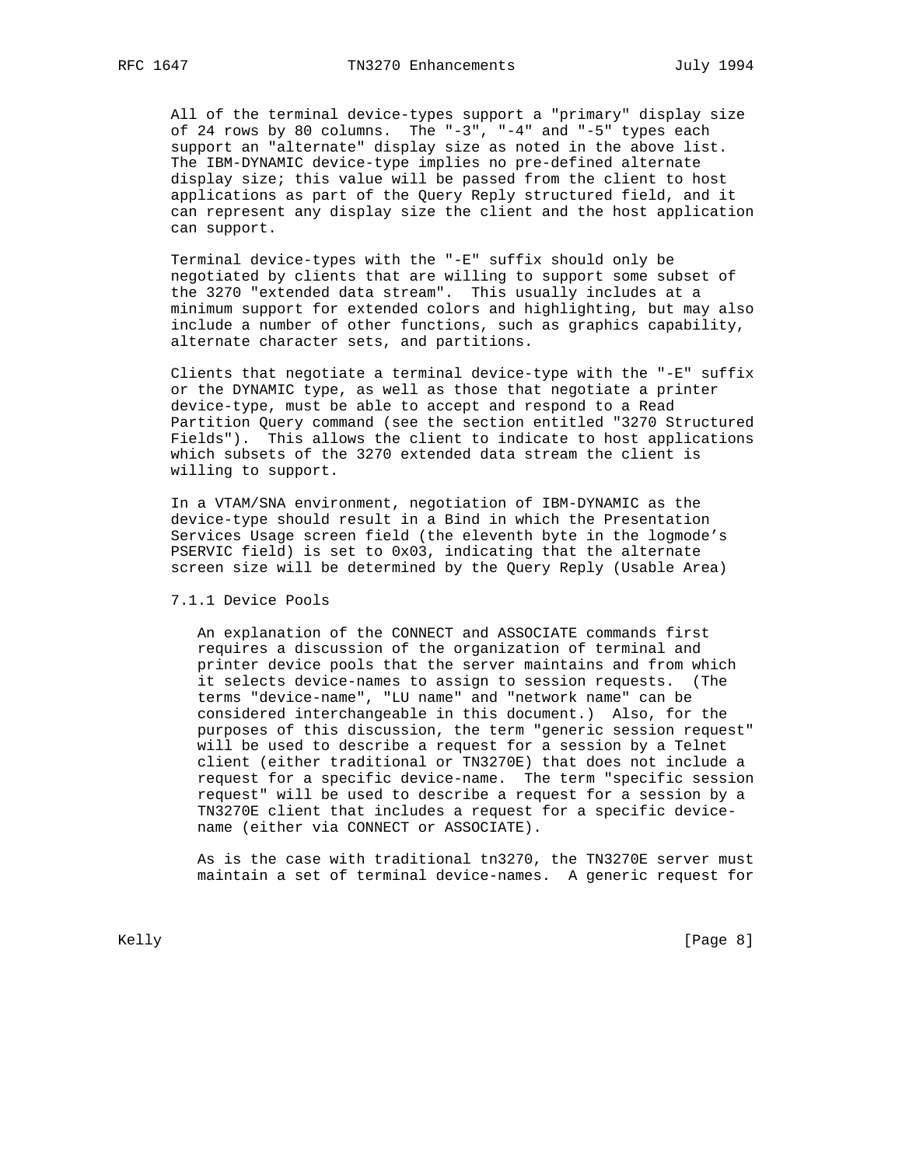All of the terminal device-types support a "primary" display size of 24 rows by 80 columns. The "-3", "-4" and "-5" types each support an "alternate" display size as noted in the above list. The IBM-DYNAMIC device-type implies no pre-defined alternate display size; this value will be passed from the client to host applications as part of the Query Reply structured field, and it can represent any display size the client and the host application can support.

 Terminal device-types with the "-E" suffix should only be negotiated by clients that are willing to support some subset of the 3270 "extended data stream". This usually includes at a minimum support for extended colors and highlighting, but may also include a number of other functions, such as graphics capability, alternate character sets, and partitions.

 Clients that negotiate a terminal device-type with the "-E" suffix or the DYNAMIC type, as well as those that negotiate a printer device-type, must be able to accept and respond to a Read Partition Query command (see the section entitled "3270 Structured Fields"). This allows the client to indicate to host applications which subsets of the 3270 extended data stream the client is willing to support.

 In a VTAM/SNA environment, negotiation of IBM-DYNAMIC as the device-type should result in a Bind in which the Presentation Services Usage screen field (the eleventh byte in the logmode's PSERVIC field) is set to 0x03, indicating that the alternate screen size will be determined by the Query Reply (Usable Area)

### 7.1.1 Device Pools

 An explanation of the CONNECT and ASSOCIATE commands first requires a discussion of the organization of terminal and printer device pools that the server maintains and from which it selects device-names to assign to session requests. (The terms "device-name", "LU name" and "network name" can be considered interchangeable in this document.) Also, for the purposes of this discussion, the term "generic session request" will be used to describe a request for a session by a Telnet client (either traditional or TN3270E) that does not include a request for a specific device-name. The term "specific session request" will be used to describe a request for a session by a TN3270E client that includes a request for a specific device name (either via CONNECT or ASSOCIATE).

 As is the case with traditional tn3270, the TN3270E server must maintain a set of terminal device-names. A generic request for

Kelly [Page 8] [Page 8] [Page 8] [Page 8] [Page 8] [Page 8] [Page 8] [Page 8] [Page 8] [Page 8] [Page 8] [Page 8] [Page 8] [Page 8] [Page 8] [Page 8] [Page 8] [Page 8] [Page 8] [Page 8] [Page 8] [Page 8] [Page 8] [Page 8]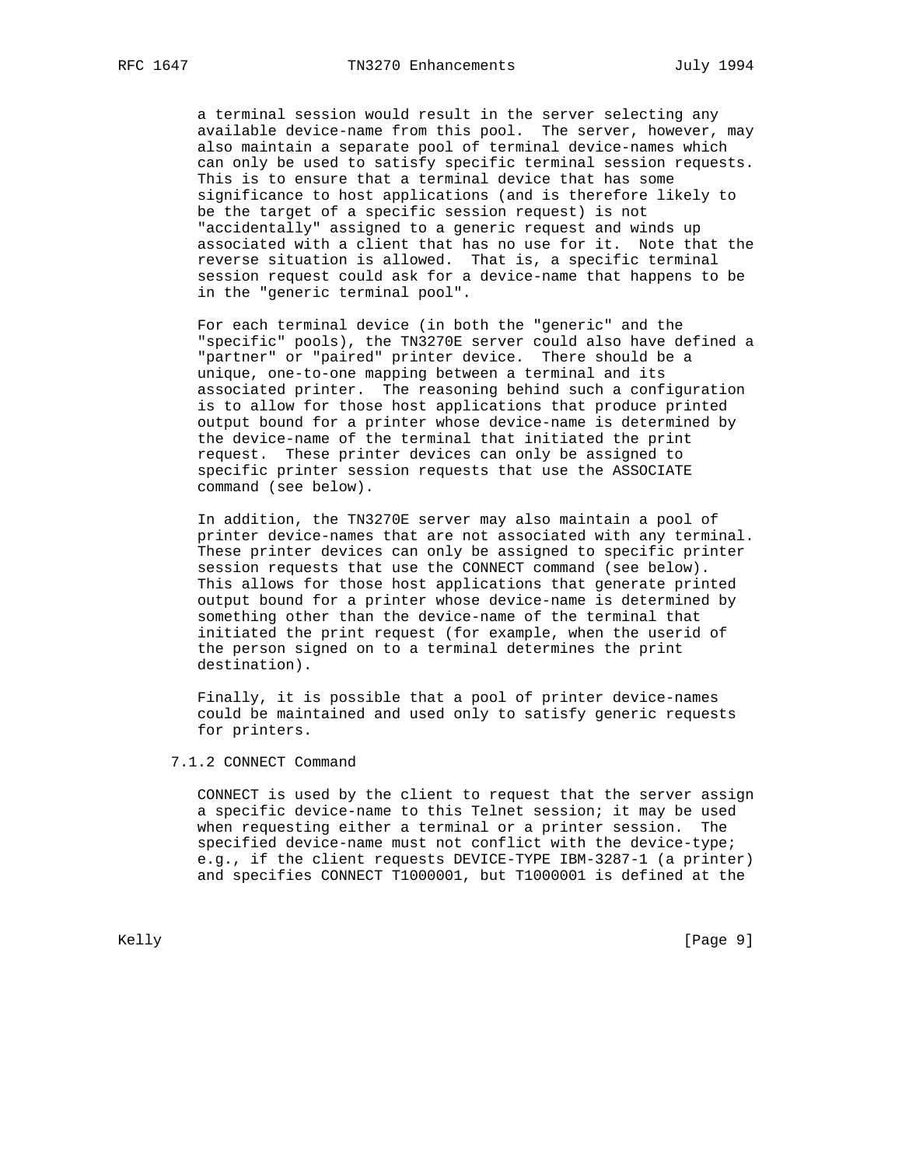a terminal session would result in the server selecting any available device-name from this pool. The server, however, may also maintain a separate pool of terminal device-names which can only be used to satisfy specific terminal session requests. This is to ensure that a terminal device that has some significance to host applications (and is therefore likely to be the target of a specific session request) is not "accidentally" assigned to a generic request and winds up associated with a client that has no use for it. Note that the reverse situation is allowed. That is, a specific terminal session request could ask for a device-name that happens to be in the "generic terminal pool".

 For each terminal device (in both the "generic" and the "specific" pools), the TN3270E server could also have defined a "partner" or "paired" printer device. There should be a unique, one-to-one mapping between a terminal and its associated printer. The reasoning behind such a configuration is to allow for those host applications that produce printed output bound for a printer whose device-name is determined by the device-name of the terminal that initiated the print request. These printer devices can only be assigned to specific printer session requests that use the ASSOCIATE command (see below).

 In addition, the TN3270E server may also maintain a pool of printer device-names that are not associated with any terminal. These printer devices can only be assigned to specific printer session requests that use the CONNECT command (see below). This allows for those host applications that generate printed output bound for a printer whose device-name is determined by something other than the device-name of the terminal that initiated the print request (for example, when the userid of the person signed on to a terminal determines the print destination).

 Finally, it is possible that a pool of printer device-names could be maintained and used only to satisfy generic requests for printers.

## 7.1.2 CONNECT Command

 CONNECT is used by the client to request that the server assign a specific device-name to this Telnet session; it may be used when requesting either a terminal or a printer session. The specified device-name must not conflict with the device-type; e.g., if the client requests DEVICE-TYPE IBM-3287-1 (a printer) and specifies CONNECT T1000001, but T1000001 is defined at the

Kelly [Page 9] [Page 9]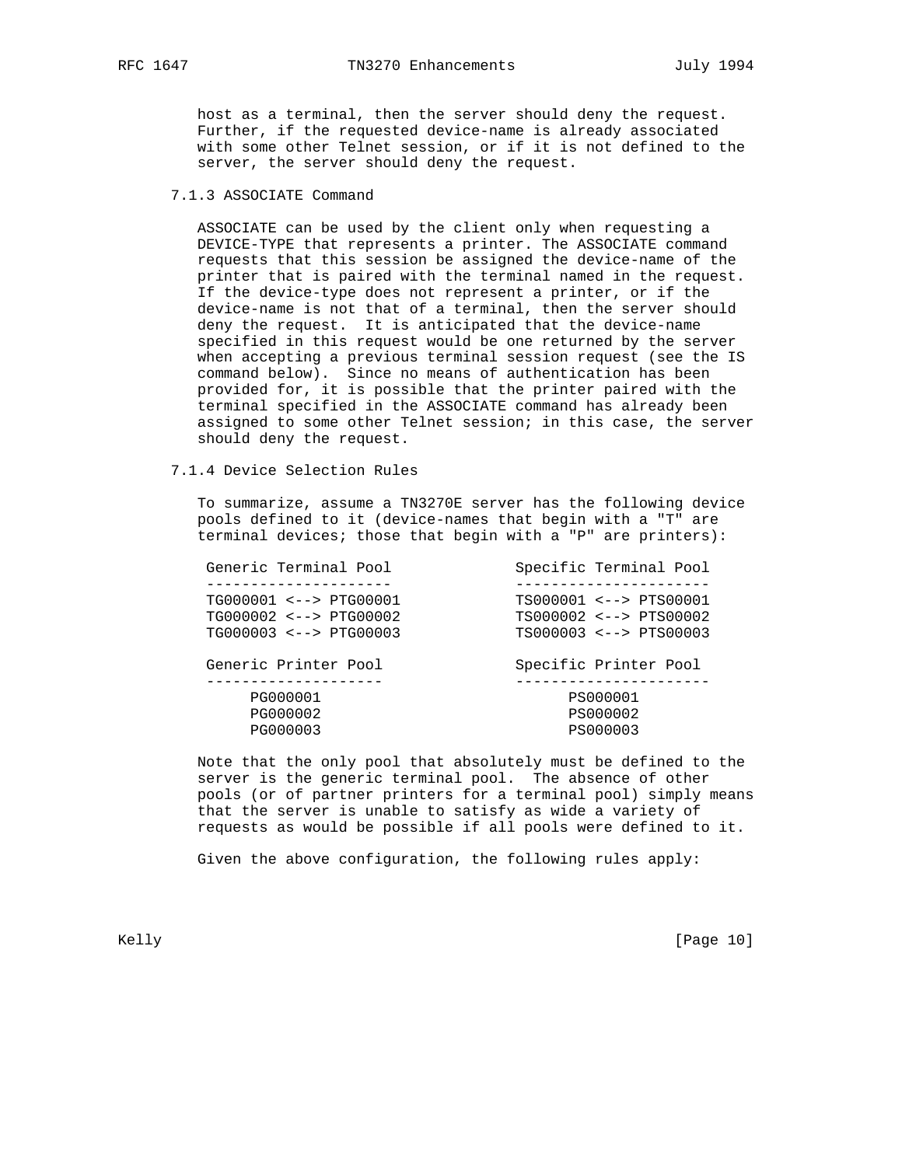host as a terminal, then the server should deny the request. Further, if the requested device-name is already associated with some other Telnet session, or if it is not defined to the server, the server should deny the request.

# 7.1.3 ASSOCIATE Command

 ASSOCIATE can be used by the client only when requesting a DEVICE-TYPE that represents a printer. The ASSOCIATE command requests that this session be assigned the device-name of the printer that is paired with the terminal named in the request. If the device-type does not represent a printer, or if the device-name is not that of a terminal, then the server should deny the request. It is anticipated that the device-name specified in this request would be one returned by the server when accepting a previous terminal session request (see the IS command below). Since no means of authentication has been provided for, it is possible that the printer paired with the terminal specified in the ASSOCIATE command has already been assigned to some other Telnet session; in this case, the server should deny the request.

## 7.1.4 Device Selection Rules

 To summarize, assume a TN3270E server has the following device pools defined to it (device-names that begin with a "T" are terminal devices; those that begin with a "P" are printers):

| Generic Terminal Pool        | Specific Terminal Pool |
|------------------------------|------------------------|
|                              |                        |
| TG000001 <--> PTG00001       | TS000001 <--> PTS00001 |
| $TG000002 \leq --> PTG00002$ | TS000002 <--> PTS00002 |
| $TG000003 \leq --> PTG00003$ | TS000003 <--> PTS00003 |
|                              |                        |
| Generic Printer Pool         | Specific Printer Pool  |
|                              |                        |
| PG000001                     | PS000001               |
| PG000002                     | PS000002               |
| PG000003                     | PS000003               |
|                              |                        |

 Note that the only pool that absolutely must be defined to the server is the generic terminal pool. The absence of other pools (or of partner printers for a terminal pool) simply means that the server is unable to satisfy as wide a variety of requests as would be possible if all pools were defined to it.

Given the above configuration, the following rules apply:

Kelly [Page 10]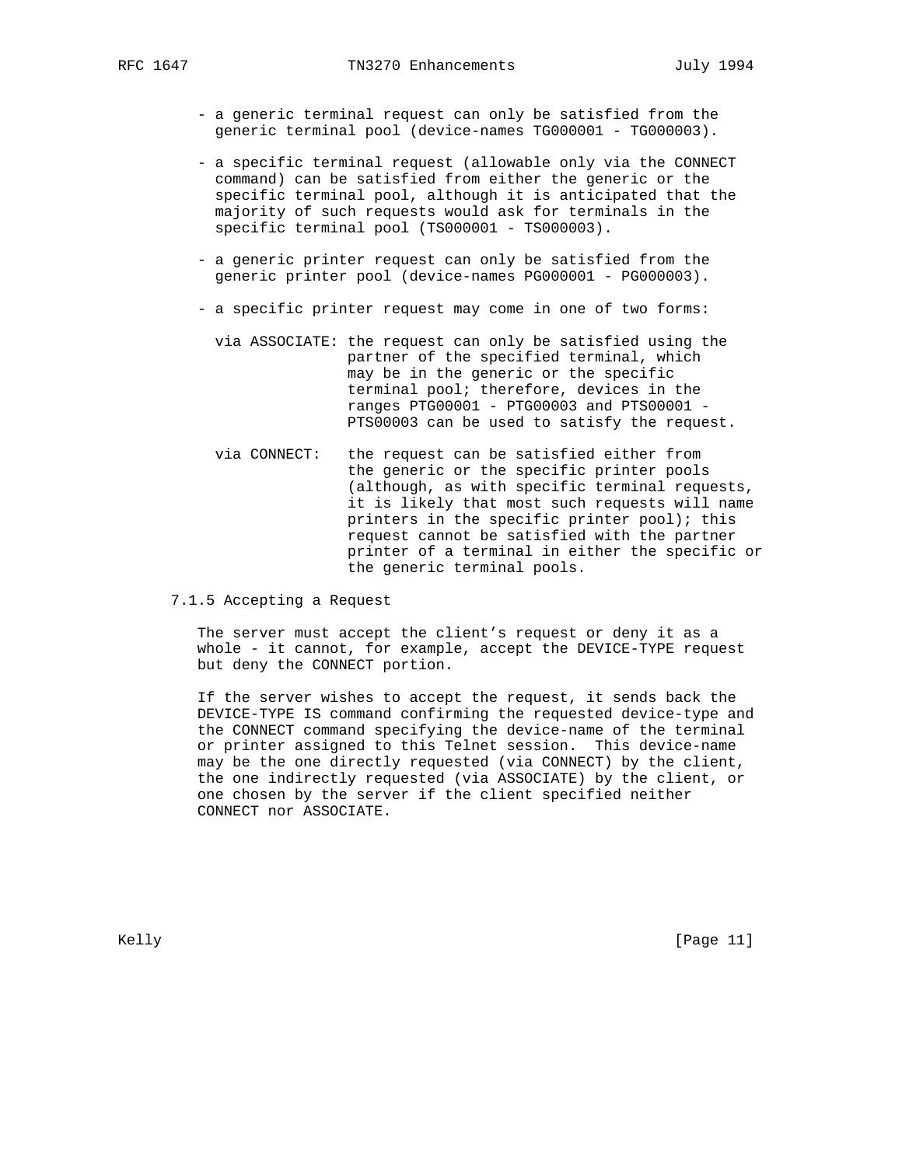- a generic terminal request can only be satisfied from the generic terminal pool (device-names TG000001 - TG000003).
- a specific terminal request (allowable only via the CONNECT command) can be satisfied from either the generic or the specific terminal pool, although it is anticipated that the majority of such requests would ask for terminals in the specific terminal pool (TS000001 - TS000003).
- a generic printer request can only be satisfied from the generic printer pool (device-names PG000001 - PG000003).
- a specific printer request may come in one of two forms:
	- via ASSOCIATE: the request can only be satisfied using the partner of the specified terminal, which may be in the generic or the specific terminal pool; therefore, devices in the ranges PTG00001 - PTG00003 and PTS00001 - PTS00003 can be used to satisfy the request.
- via CONNECT: the request can be satisfied either from the generic or the specific printer pools (although, as with specific terminal requests, it is likely that most such requests will name printers in the specific printer pool); this request cannot be satisfied with the partner printer of a terminal in either the specific or the generic terminal pools.
- 7.1.5 Accepting a Request

 The server must accept the client's request or deny it as a whole - it cannot, for example, accept the DEVICE-TYPE request but deny the CONNECT portion.

 If the server wishes to accept the request, it sends back the DEVICE-TYPE IS command confirming the requested device-type and the CONNECT command specifying the device-name of the terminal or printer assigned to this Telnet session. This device-name may be the one directly requested (via CONNECT) by the client, the one indirectly requested (via ASSOCIATE) by the client, or one chosen by the server if the client specified neither CONNECT nor ASSOCIATE.

Kelly [Page 11]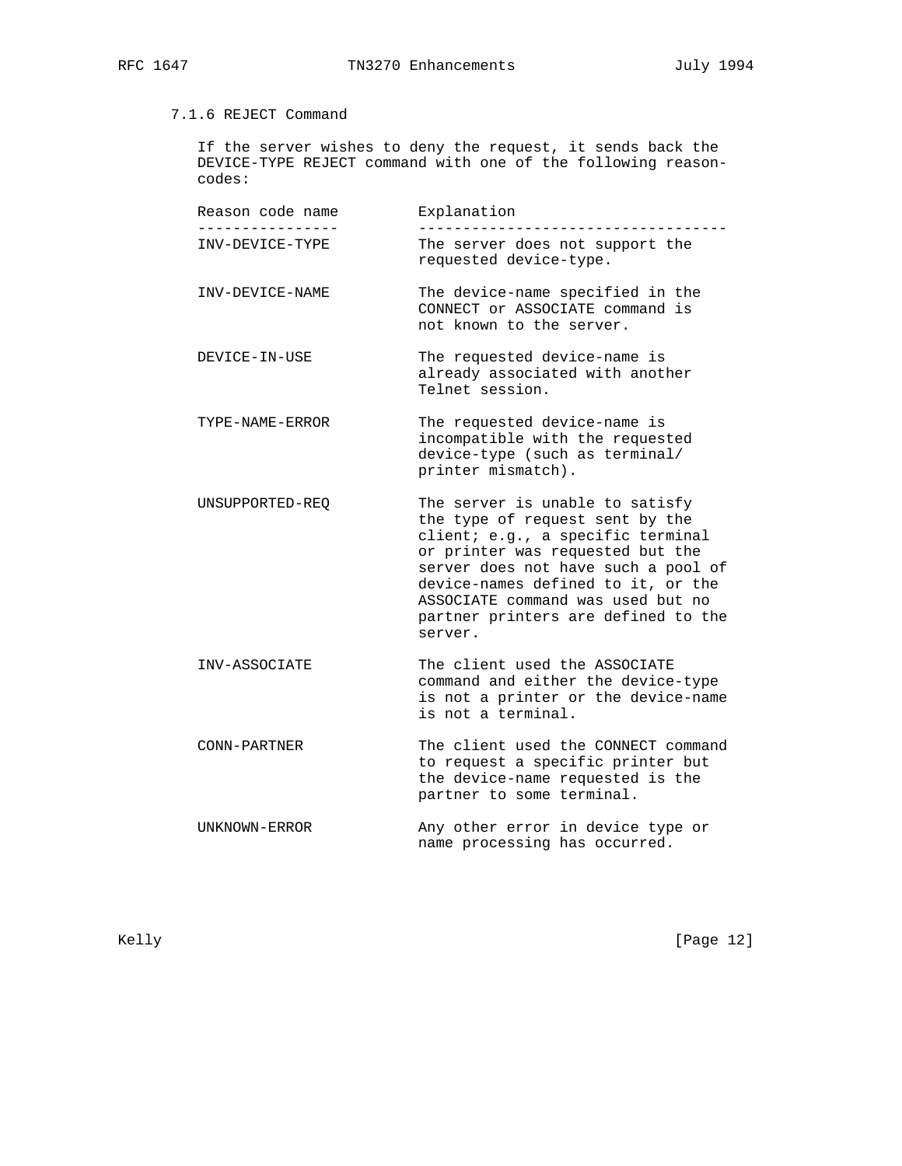# 7.1.6 REJECT Command

 If the server wishes to deny the request, it sends back the DEVICE-TYPE REJECT command with one of the following reason codes:

 Reason code name Explanation ---------------- ----------------------------------- INV-DEVICE-TYPE The server does not support the requested device-type. INV-DEVICE-NAME The device-name specified in the CONNECT or ASSOCIATE command is not known to the server. DEVICE-IN-USE The requested device-name is already associated with another Telnet session. TYPE-NAME-ERROR The requested device-name is incompatible with the requested device-type (such as terminal/ printer mismatch). UNSUPPORTED-REQ The server is unable to satisfy the type of request sent by the client; e.g., a specific terminal or printer was requested but the server does not have such a pool of device-names defined to it, or the ASSOCIATE command was used but no partner printers are defined to the server. INV-ASSOCIATE The client used the ASSOCIATE command and either the device-type is not a printer or the device-name is not a terminal. CONN-PARTNER The client used the CONNECT command to request a specific printer but the device-name requested is the partner to some terminal. UNKNOWN-ERROR Any other error in device type or name processing has occurred.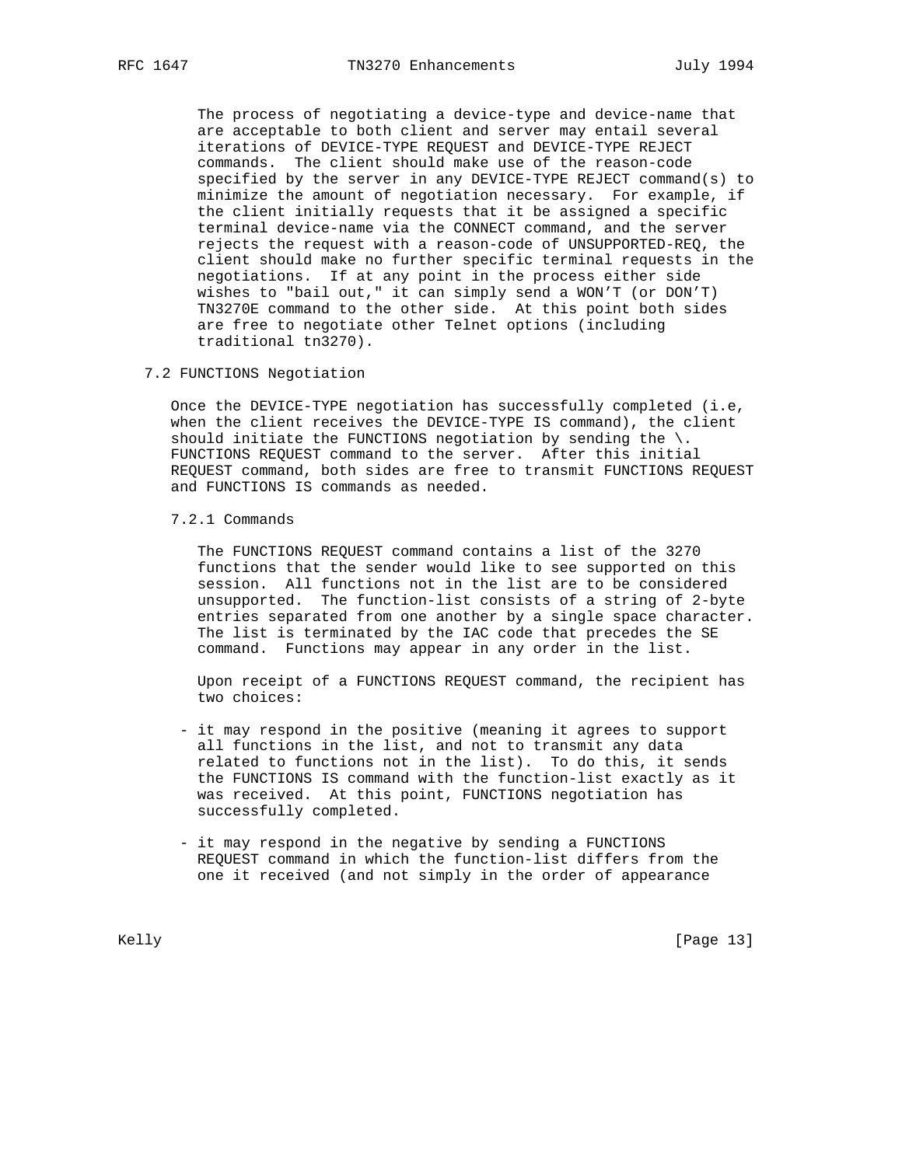The process of negotiating a device-type and device-name that are acceptable to both client and server may entail several iterations of DEVICE-TYPE REQUEST and DEVICE-TYPE REJECT commands. The client should make use of the reason-code specified by the server in any DEVICE-TYPE REJECT command(s) to minimize the amount of negotiation necessary. For example, if the client initially requests that it be assigned a specific terminal device-name via the CONNECT command, and the server rejects the request with a reason-code of UNSUPPORTED-REQ, the client should make no further specific terminal requests in the negotiations. If at any point in the process either side wishes to "bail out," it can simply send a WON'T (or DON'T) TN3270E command to the other side. At this point both sides are free to negotiate other Telnet options (including traditional tn3270).

7.2 FUNCTIONS Negotiation

 Once the DEVICE-TYPE negotiation has successfully completed (i.e, when the client receives the DEVICE-TYPE IS command), the client should initiate the FUNCTIONS negotiation by sending the  $\backslash$ . FUNCTIONS REQUEST command to the server. After this initial REQUEST command, both sides are free to transmit FUNCTIONS REQUEST and FUNCTIONS IS commands as needed.

7.2.1 Commands

 The FUNCTIONS REQUEST command contains a list of the 3270 functions that the sender would like to see supported on this session. All functions not in the list are to be considered unsupported. The function-list consists of a string of 2-byte entries separated from one another by a single space character. The list is terminated by the IAC code that precedes the SE command. Functions may appear in any order in the list.

 Upon receipt of a FUNCTIONS REQUEST command, the recipient has two choices:

- it may respond in the positive (meaning it agrees to support all functions in the list, and not to transmit any data related to functions not in the list). To do this, it sends the FUNCTIONS IS command with the function-list exactly as it was received. At this point, FUNCTIONS negotiation has successfully completed.
- it may respond in the negative by sending a FUNCTIONS REQUEST command in which the function-list differs from the one it received (and not simply in the order of appearance

Kelly [Page 13]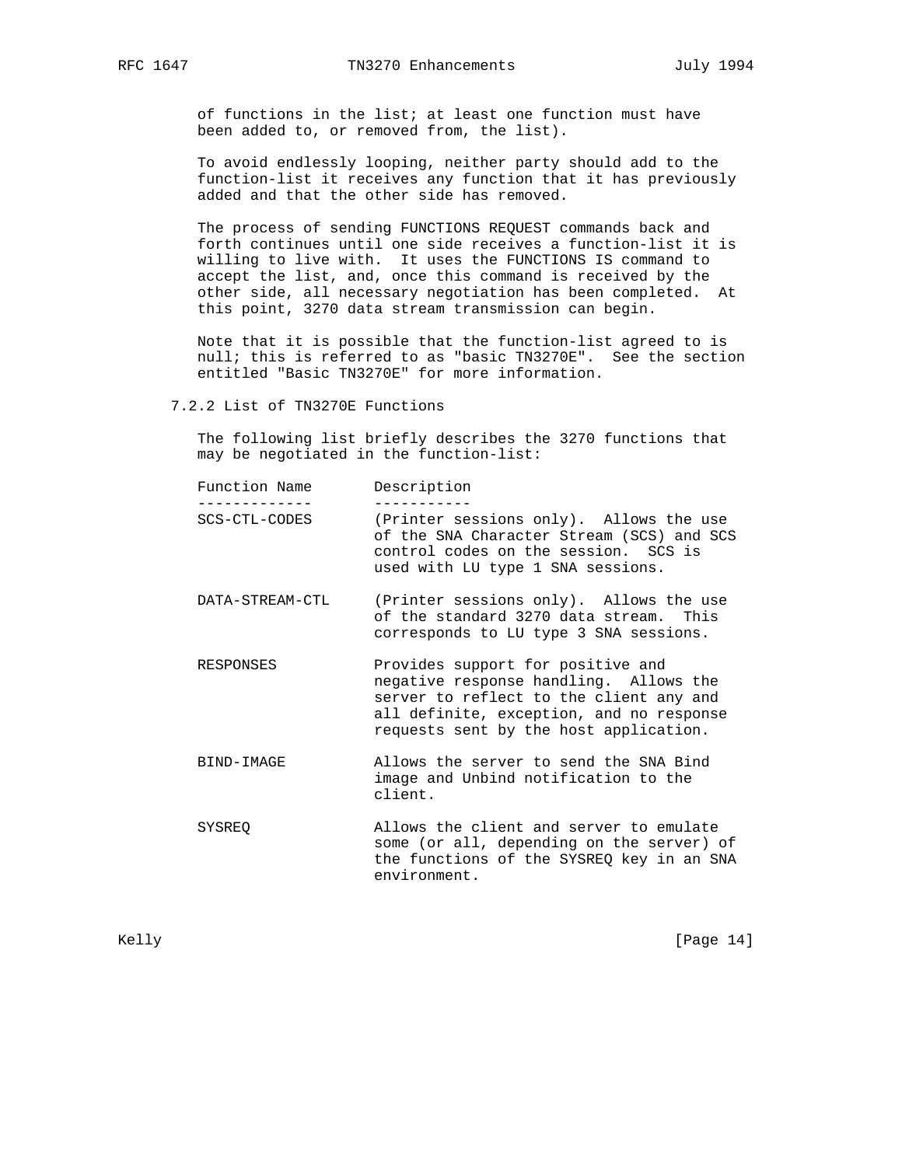of functions in the list; at least one function must have been added to, or removed from, the list).

 To avoid endlessly looping, neither party should add to the function-list it receives any function that it has previously added and that the other side has removed.

 The process of sending FUNCTIONS REQUEST commands back and forth continues until one side receives a function-list it is willing to live with. It uses the FUNCTIONS IS command to accept the list, and, once this command is received by the other side, all necessary negotiation has been completed. At this point, 3270 data stream transmission can begin.

 Note that it is possible that the function-list agreed to is null; this is referred to as "basic TN3270E". See the section entitled "Basic TN3270E" for more information.

7.2.2 List of TN3270E Functions

 The following list briefly describes the 3270 functions that may be negotiated in the function-list:

| Function Name   | Description                                                                                                                                                                                                  |
|-----------------|--------------------------------------------------------------------------------------------------------------------------------------------------------------------------------------------------------------|
| SCS-CTL-CODES   | (Printer sessions only). Allows the use<br>of the SNA Character Stream (SCS) and SCS<br>control codes on the session. SCS is<br>used with LU type 1 SNA sessions.                                            |
| DATA-STREAM-CTL | (Printer sessions only). Allows the use<br>of the standard 3270 data stream. This<br>corresponds to LU type 3 SNA sessions.                                                                                  |
| RESPONSES       | Provides support for positive and<br>negative response handling. Allows the<br>server to reflect to the client any and<br>all definite, exception, and no response<br>requests sent by the host application. |
| BIND-IMAGE      | Allows the server to send the SNA Bind<br>image and Unbind notification to the<br>client.                                                                                                                    |
| SYSREO          | Allows the client and server to emulate<br>some (or all, depending on the server) of<br>the functions of the SYSREQ key in an SNA<br>environment.                                                            |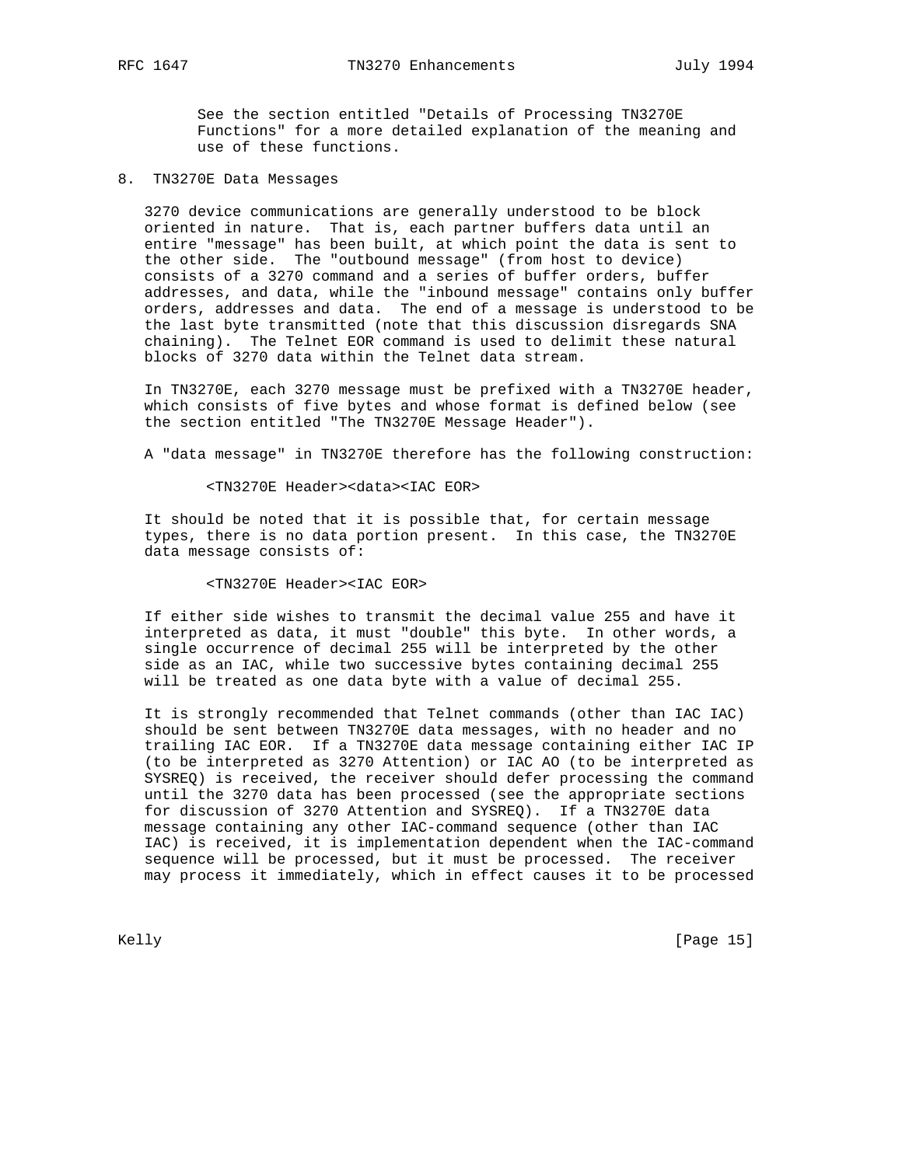See the section entitled "Details of Processing TN3270E Functions" for a more detailed explanation of the meaning and use of these functions.

8. TN3270E Data Messages

 3270 device communications are generally understood to be block oriented in nature. That is, each partner buffers data until an entire "message" has been built, at which point the data is sent to the other side. The "outbound message" (from host to device) consists of a 3270 command and a series of buffer orders, buffer addresses, and data, while the "inbound message" contains only buffer orders, addresses and data. The end of a message is understood to be the last byte transmitted (note that this discussion disregards SNA chaining). The Telnet EOR command is used to delimit these natural blocks of 3270 data within the Telnet data stream.

 In TN3270E, each 3270 message must be prefixed with a TN3270E header, which consists of five bytes and whose format is defined below (see the section entitled "The TN3270E Message Header").

A "data message" in TN3270E therefore has the following construction:

#### <TN3270E Header><data><IAC EOR>

 It should be noted that it is possible that, for certain message types, there is no data portion present. In this case, the TN3270E data message consists of:

### <TN3270E Header><IAC EOR>

 If either side wishes to transmit the decimal value 255 and have it interpreted as data, it must "double" this byte. In other words, a single occurrence of decimal 255 will be interpreted by the other side as an IAC, while two successive bytes containing decimal 255 will be treated as one data byte with a value of decimal 255.

 It is strongly recommended that Telnet commands (other than IAC IAC) should be sent between TN3270E data messages, with no header and no trailing IAC EOR. If a TN3270E data message containing either IAC IP (to be interpreted as 3270 Attention) or IAC AO (to be interpreted as SYSREQ) is received, the receiver should defer processing the command until the 3270 data has been processed (see the appropriate sections for discussion of 3270 Attention and SYSREQ). If a TN3270E data message containing any other IAC-command sequence (other than IAC IAC) is received, it is implementation dependent when the IAC-command sequence will be processed, but it must be processed. The receiver may process it immediately, which in effect causes it to be processed

Kelly [Page 15]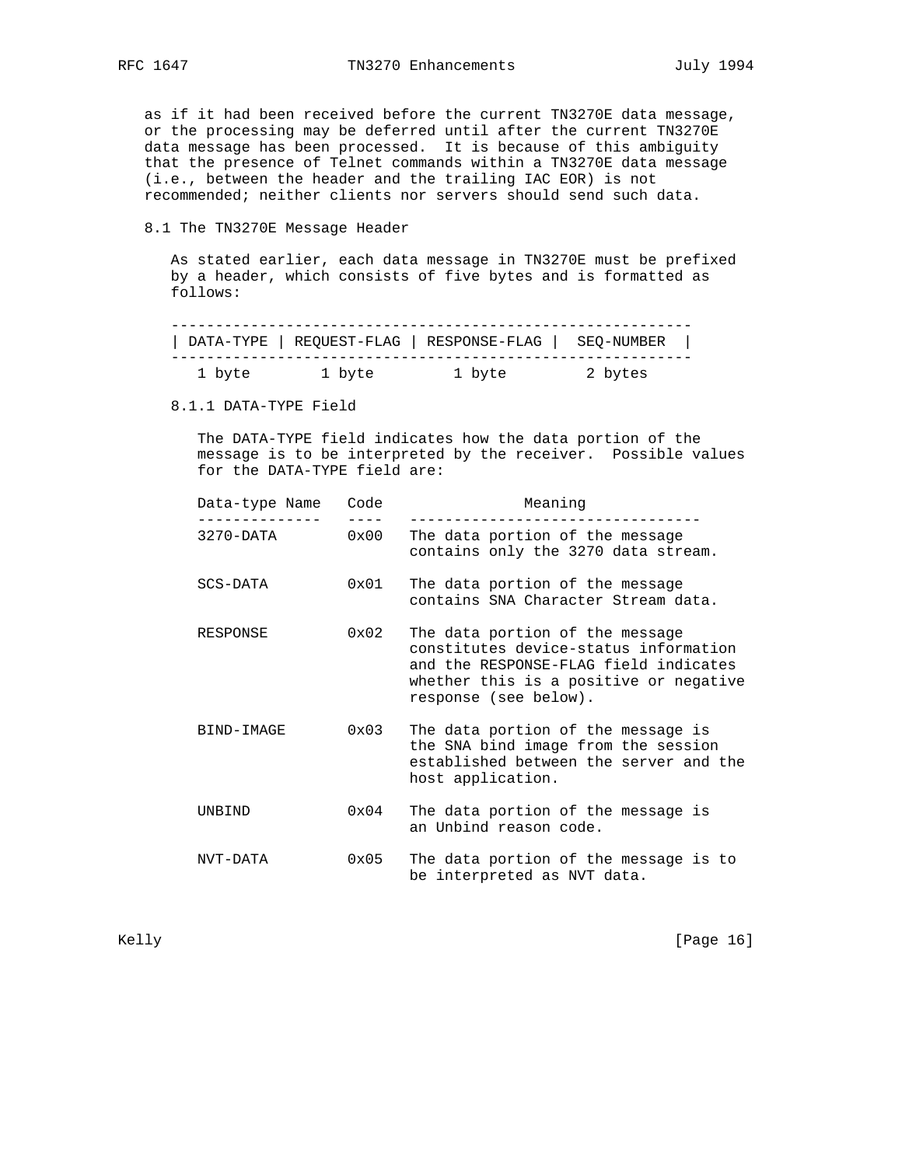as if it had been received before the current TN3270E data message, or the processing may be deferred until after the current TN3270E data message has been processed. It is because of this ambiguity that the presence of Telnet commands within a TN3270E data message (i.e., between the header and the trailing IAC EOR) is not recommended; neither clients nor servers should send such data.

### 8.1 The TN3270E Message Header

 As stated earlier, each data message in TN3270E must be prefixed by a header, which consists of five bytes and is formatted as follows:

|        |        | DATA-TYPE   REQUEST-FLAG   RESPONSE-FLAG   SEQ-NUMBER |         |  |
|--------|--------|-------------------------------------------------------|---------|--|
| 1 byte | 1 byte | 1 byte                                                | 2 bytes |  |

8.1.1 DATA-TYPE Field

 The DATA-TYPE field indicates how the data portion of the message is to be interpreted by the receiver. Possible values for the DATA-TYPE field are:

| Data-type Name | Code          | Meaning                                                                                                                                                                              |
|----------------|---------------|--------------------------------------------------------------------------------------------------------------------------------------------------------------------------------------|
| 3270-DATA      | 0x00          | The data portion of the message<br>contains only the 3270 data stream.                                                                                                               |
| SCS-DATA       | $0 \times 01$ | The data portion of the message<br>contains SNA Character Stream data.                                                                                                               |
| RESPONSE       | $0 \times 02$ | The data portion of the message<br>constitutes device-status information<br>and the RESPONSE-FLAG field indicates<br>whether this is a positive or negative<br>response (see below). |
| BIND-IMAGE     | $0 \times 03$ | The data portion of the message is<br>the SNA bind image from the session<br>established between the server and the<br>host application.                                             |
| UNBIND         | $0 \times 04$ | The data portion of the message is<br>an Unbind reason code.                                                                                                                         |
| NVT-DATA       | $0 \times 05$ | The data portion of the message is to<br>be interpreted as NVT data.                                                                                                                 |

Kelly [Page 16]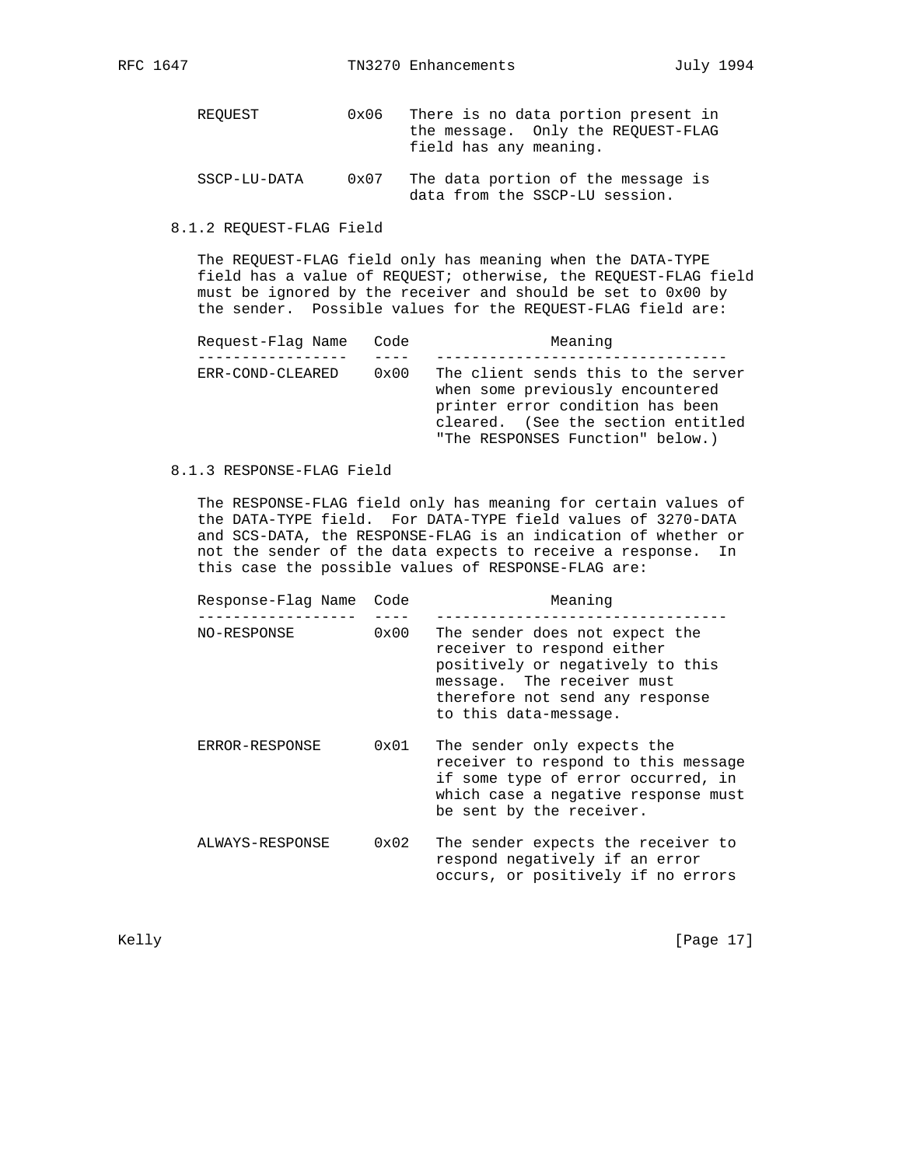| REOUEST      | 0x06 | There is no data portion present in<br>the message. Only the REOUEST-FLAG<br>field has any meaning. |
|--------------|------|-----------------------------------------------------------------------------------------------------|
| SSCP-LU-DATA | 0x07 | The data portion of the message is<br>data from the SSCP-LU session.                                |

8.1.2 REQUEST-FLAG Field

 The REQUEST-FLAG field only has meaning when the DATA-TYPE field has a value of REQUEST; otherwise, the REQUEST-FLAG field must be ignored by the receiver and should be set to 0x00 by the sender. Possible values for the REQUEST-FLAG field are:

| Request-Flaq Name Code |      | Meaning                                                                                                                                                                               |
|------------------------|------|---------------------------------------------------------------------------------------------------------------------------------------------------------------------------------------|
|                        |      |                                                                                                                                                                                       |
| ERR-COND-CLEARED       | 0x00 | The client sends this to the server<br>when some previously encountered<br>printer error condition has been<br>cleared. (See the section entitled<br>"The RESPONSES Function" below.) |

# 8.1.3 RESPONSE-FLAG Field

 The RESPONSE-FLAG field only has meaning for certain values of the DATA-TYPE field. For DATA-TYPE field values of 3270-DATA and SCS-DATA, the RESPONSE-FLAG is an indication of whether or not the sender of the data expects to receive a response. In this case the possible values of RESPONSE-FLAG are:

| Response-Flag Name | Code | Meaning                                                                                                                                                                                    |
|--------------------|------|--------------------------------------------------------------------------------------------------------------------------------------------------------------------------------------------|
| NO-RESPONSE        | 0x00 | The sender does not expect the<br>receiver to respond either<br>positively or negatively to this<br>message. The receiver must<br>therefore not send any response<br>to this data-message. |
| ERROR-RESPONSE     | 0x01 | The sender only expects the<br>receiver to respond to this message<br>if some type of error occurred, in<br>which case a negative response must<br>be sent by the receiver.                |
| ALWAYS-RESPONSE    | 0x02 | The sender expects the receiver to<br>respond negatively if an error<br>occurs, or positively if no errors                                                                                 |

Kelly [Page 17]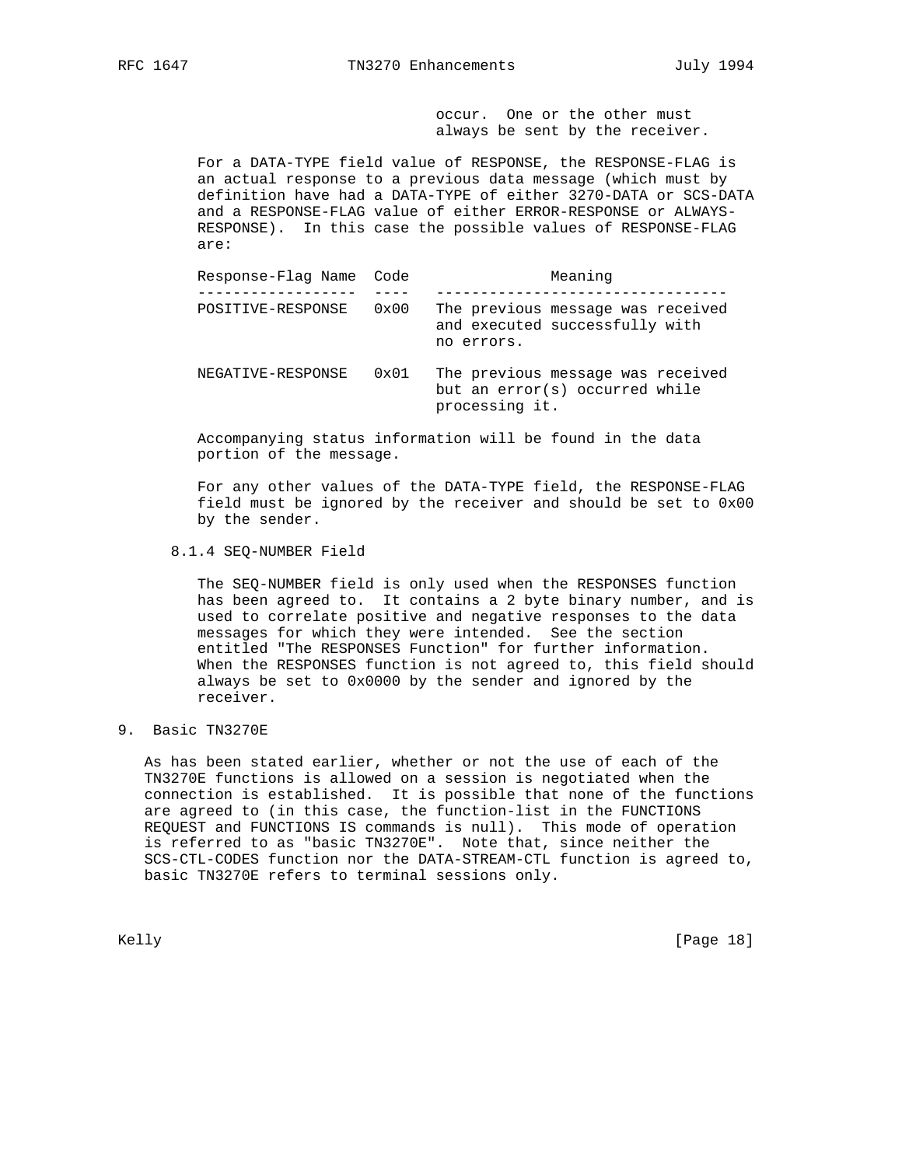occur. One or the other must always be sent by the receiver.

 For a DATA-TYPE field value of RESPONSE, the RESPONSE-FLAG is an actual response to a previous data message (which must by definition have had a DATA-TYPE of either 3270-DATA or SCS-DATA and a RESPONSE-FLAG value of either ERROR-RESPONSE or ALWAYS- RESPONSE). In this case the possible values of RESPONSE-FLAG are:

| Response-Flag Name Code |               | Meaning                                                                               |
|-------------------------|---------------|---------------------------------------------------------------------------------------|
| POSITIVE-RESPONSE       | $0 \times 00$ | The previous message was received<br>and executed successfully with<br>no errors.     |
| NEGATIVE-RESPONSE       | $0 \times 01$ | The previous message was received<br>but an error(s) occurred while<br>processing it. |

 Accompanying status information will be found in the data portion of the message.

 For any other values of the DATA-TYPE field, the RESPONSE-FLAG field must be ignored by the receiver and should be set to 0x00 by the sender.

### 8.1.4 SEQ-NUMBER Field

 The SEQ-NUMBER field is only used when the RESPONSES function has been agreed to. It contains a 2 byte binary number, and is used to correlate positive and negative responses to the data messages for which they were intended. See the section entitled "The RESPONSES Function" for further information. When the RESPONSES function is not agreed to, this field should always be set to 0x0000 by the sender and ignored by the receiver.

# 9. Basic TN3270E

 As has been stated earlier, whether or not the use of each of the TN3270E functions is allowed on a session is negotiated when the connection is established. It is possible that none of the functions are agreed to (in this case, the function-list in the FUNCTIONS REQUEST and FUNCTIONS IS commands is null). This mode of operation is referred to as "basic TN3270E". Note that, since neither the SCS-CTL-CODES function nor the DATA-STREAM-CTL function is agreed to, basic TN3270E refers to terminal sessions only.

Kelly [Page 18]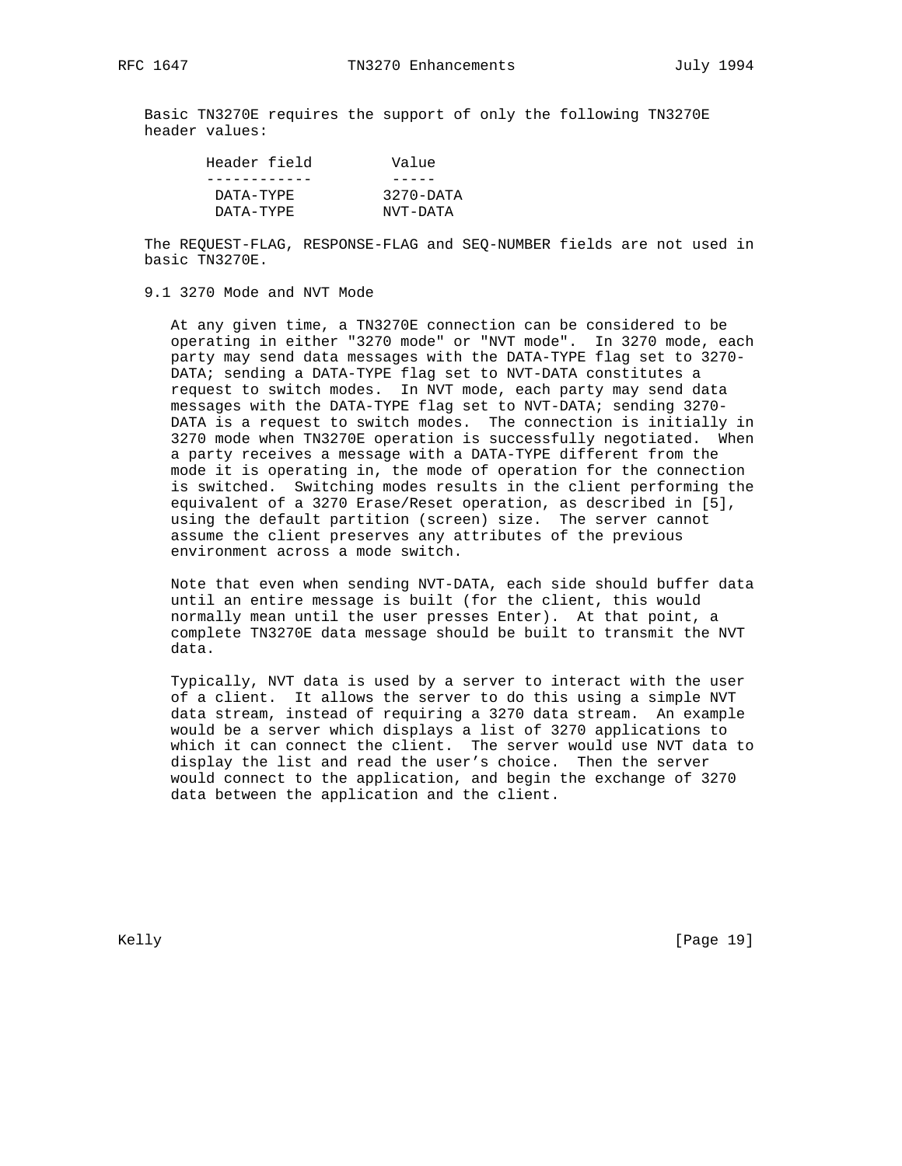Basic TN3270E requires the support of only the following TN3270E header values:

| Header field | Value                |
|--------------|----------------------|
|              |                      |
| DATA-TYPE    | $3270 - \text{DATA}$ |
| DATA-TYPE    | NVT-DATA             |

 The REQUEST-FLAG, RESPONSE-FLAG and SEQ-NUMBER fields are not used in basic TN3270E.

### 9.1 3270 Mode and NVT Mode

 At any given time, a TN3270E connection can be considered to be operating in either "3270 mode" or "NVT mode". In 3270 mode, each party may send data messages with the DATA-TYPE flag set to 3270- DATA; sending a DATA-TYPE flag set to NVT-DATA constitutes a request to switch modes. In NVT mode, each party may send data messages with the DATA-TYPE flag set to NVT-DATA; sending 3270- DATA is a request to switch modes. The connection is initially in 3270 mode when TN3270E operation is successfully negotiated. When a party receives a message with a DATA-TYPE different from the mode it is operating in, the mode of operation for the connection is switched. Switching modes results in the client performing the equivalent of a 3270 Erase/Reset operation, as described in [5], using the default partition (screen) size. The server cannot assume the client preserves any attributes of the previous environment across a mode switch.

 Note that even when sending NVT-DATA, each side should buffer data until an entire message is built (for the client, this would normally mean until the user presses Enter). At that point, a complete TN3270E data message should be built to transmit the NVT data.

 Typically, NVT data is used by a server to interact with the user of a client. It allows the server to do this using a simple NVT data stream, instead of requiring a 3270 data stream. An example would be a server which displays a list of 3270 applications to which it can connect the client. The server would use NVT data to display the list and read the user's choice. Then the server would connect to the application, and begin the exchange of 3270 data between the application and the client.

Kelly [Page 19]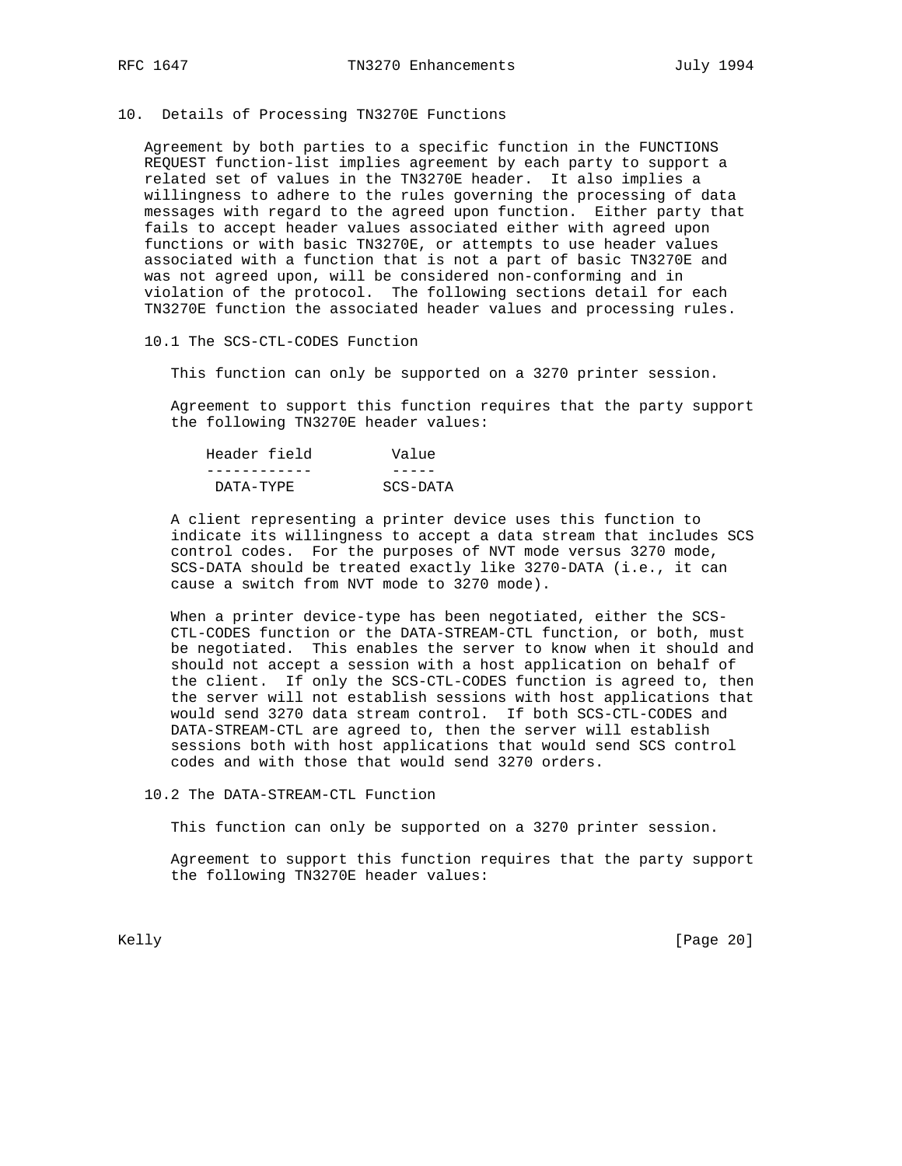# 10. Details of Processing TN3270E Functions

 Agreement by both parties to a specific function in the FUNCTIONS REQUEST function-list implies agreement by each party to support a related set of values in the TN3270E header. It also implies a willingness to adhere to the rules governing the processing of data messages with regard to the agreed upon function. Either party that fails to accept header values associated either with agreed upon functions or with basic TN3270E, or attempts to use header values associated with a function that is not a part of basic TN3270E and was not agreed upon, will be considered non-conforming and in violation of the protocol. The following sections detail for each TN3270E function the associated header values and processing rules.

10.1 The SCS-CTL-CODES Function

This function can only be supported on a 3270 printer session.

 Agreement to support this function requires that the party support the following TN3270E header values:

| Header field | Value    |
|--------------|----------|
|              |          |
| DATA-TYPE    | SCS-DATA |

 A client representing a printer device uses this function to indicate its willingness to accept a data stream that includes SCS control codes. For the purposes of NVT mode versus 3270 mode, SCS-DATA should be treated exactly like 3270-DATA (i.e., it can cause a switch from NVT mode to 3270 mode).

When a printer device-type has been negotiated, either the SCS- CTL-CODES function or the DATA-STREAM-CTL function, or both, must be negotiated. This enables the server to know when it should and should not accept a session with a host application on behalf of the client. If only the SCS-CTL-CODES function is agreed to, then the server will not establish sessions with host applications that would send 3270 data stream control. If both SCS-CTL-CODES and DATA-STREAM-CTL are agreed to, then the server will establish sessions both with host applications that would send SCS control codes and with those that would send 3270 orders.

10.2 The DATA-STREAM-CTL Function

This function can only be supported on a 3270 printer session.

 Agreement to support this function requires that the party support the following TN3270E header values:

Kelly [Page 20]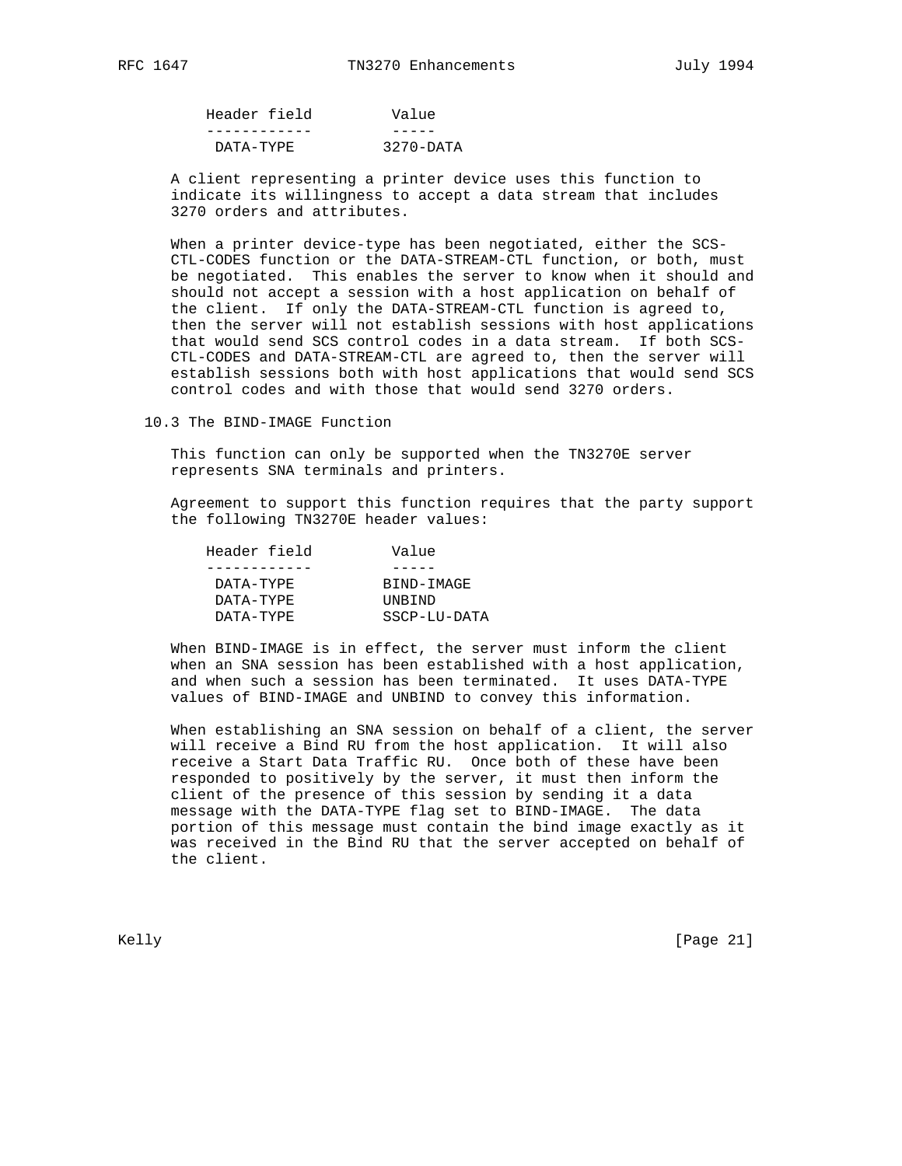| Header field | Value                |
|--------------|----------------------|
|              |                      |
| DATA-TYPE    | $3270 - \text{DATA}$ |

 A client representing a printer device uses this function to indicate its willingness to accept a data stream that includes 3270 orders and attributes.

When a printer device-type has been negotiated, either the SCS- CTL-CODES function or the DATA-STREAM-CTL function, or both, must be negotiated. This enables the server to know when it should and should not accept a session with a host application on behalf of the client. If only the DATA-STREAM-CTL function is agreed to, then the server will not establish sessions with host applications that would send SCS control codes in a data stream. If both SCS- CTL-CODES and DATA-STREAM-CTL are agreed to, then the server will establish sessions both with host applications that would send SCS control codes and with those that would send 3270 orders.

10.3 The BIND-IMAGE Function

 This function can only be supported when the TN3270E server represents SNA terminals and printers.

 Agreement to support this function requires that the party support the following TN3270E header values:

| Value        |
|--------------|
|              |
| BIND-IMAGE   |
| UNBIND       |
| SSCP-LU-DATA |
|              |

 When BIND-IMAGE is in effect, the server must inform the client when an SNA session has been established with a host application, and when such a session has been terminated. It uses DATA-TYPE values of BIND-IMAGE and UNBIND to convey this information.

 When establishing an SNA session on behalf of a client, the server will receive a Bind RU from the host application. It will also receive a Start Data Traffic RU. Once both of these have been responded to positively by the server, it must then inform the client of the presence of this session by sending it a data message with the DATA-TYPE flag set to BIND-IMAGE. The data portion of this message must contain the bind image exactly as it was received in the Bind RU that the server accepted on behalf of the client.

Kelly [Page 21]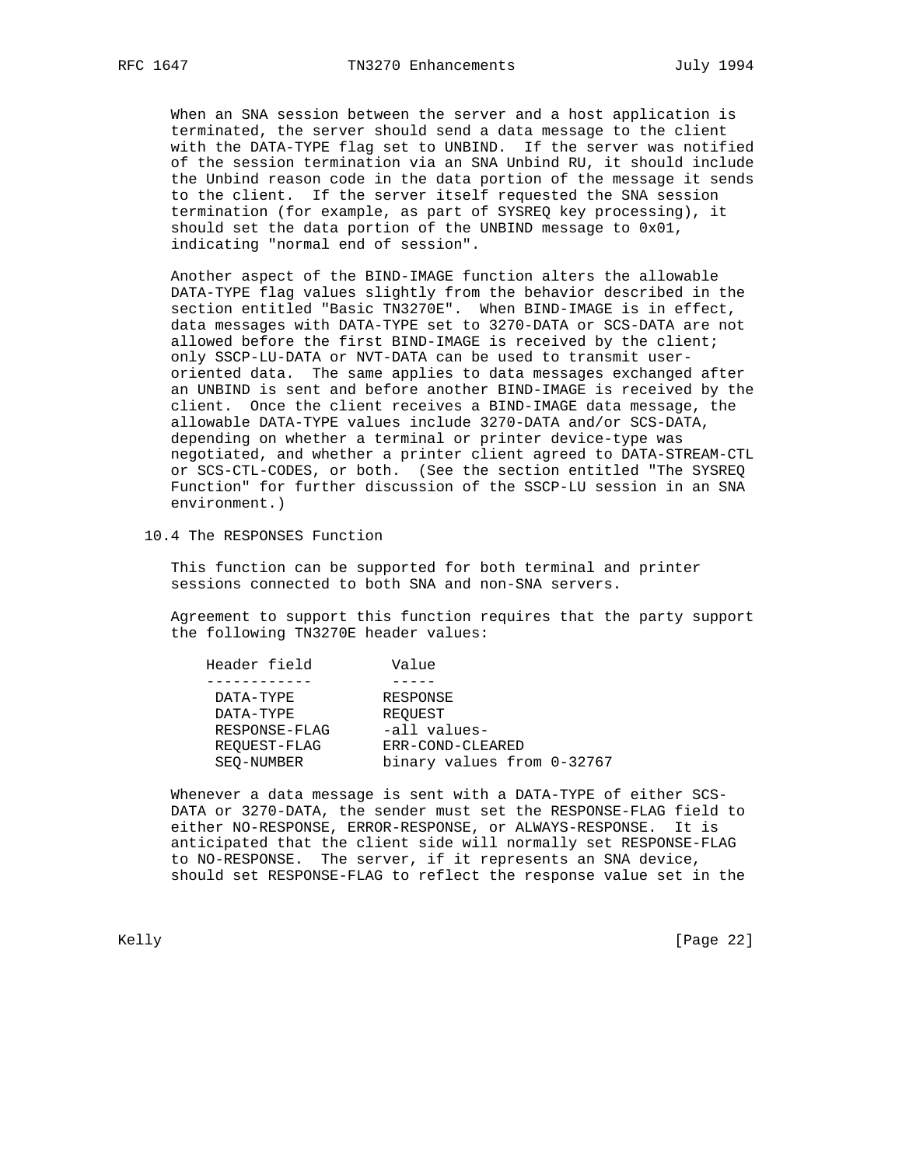When an SNA session between the server and a host application is terminated, the server should send a data message to the client with the DATA-TYPE flag set to UNBIND. If the server was notified of the session termination via an SNA Unbind RU, it should include the Unbind reason code in the data portion of the message it sends to the client. If the server itself requested the SNA session termination (for example, as part of SYSREQ key processing), it should set the data portion of the UNBIND message to 0x01, indicating "normal end of session".

 Another aspect of the BIND-IMAGE function alters the allowable DATA-TYPE flag values slightly from the behavior described in the section entitled "Basic TN3270E". When BIND-IMAGE is in effect, data messages with DATA-TYPE set to 3270-DATA or SCS-DATA are not allowed before the first BIND-IMAGE is received by the client; only SSCP-LU-DATA or NVT-DATA can be used to transmit user oriented data. The same applies to data messages exchanged after an UNBIND is sent and before another BIND-IMAGE is received by the client. Once the client receives a BIND-IMAGE data message, the allowable DATA-TYPE values include 3270-DATA and/or SCS-DATA, depending on whether a terminal or printer device-type was negotiated, and whether a printer client agreed to DATA-STREAM-CTL or SCS-CTL-CODES, or both. (See the section entitled "The SYSREQ Function" for further discussion of the SSCP-LU session in an SNA environment.)

10.4 The RESPONSES Function

 This function can be supported for both terminal and printer sessions connected to both SNA and non-SNA servers.

 Agreement to support this function requires that the party support the following TN3270E header values:

| Header field  | Value                      |
|---------------|----------------------------|
|               |                            |
| DATA-TYPE     | RESPONSE                   |
| DATA-TYPE     | REOUEST                    |
| RESPONSE-FLAG | -all values-               |
| REOUEST-FLAG  | ERR-COND-CLEARED           |
| SEO-NUMBER    | binary values from 0-32767 |

 Whenever a data message is sent with a DATA-TYPE of either SCS- DATA or 3270-DATA, the sender must set the RESPONSE-FLAG field to either NO-RESPONSE, ERROR-RESPONSE, or ALWAYS-RESPONSE. It is anticipated that the client side will normally set RESPONSE-FLAG to NO-RESPONSE. The server, if it represents an SNA device, should set RESPONSE-FLAG to reflect the response value set in the

Kelly [Page 22]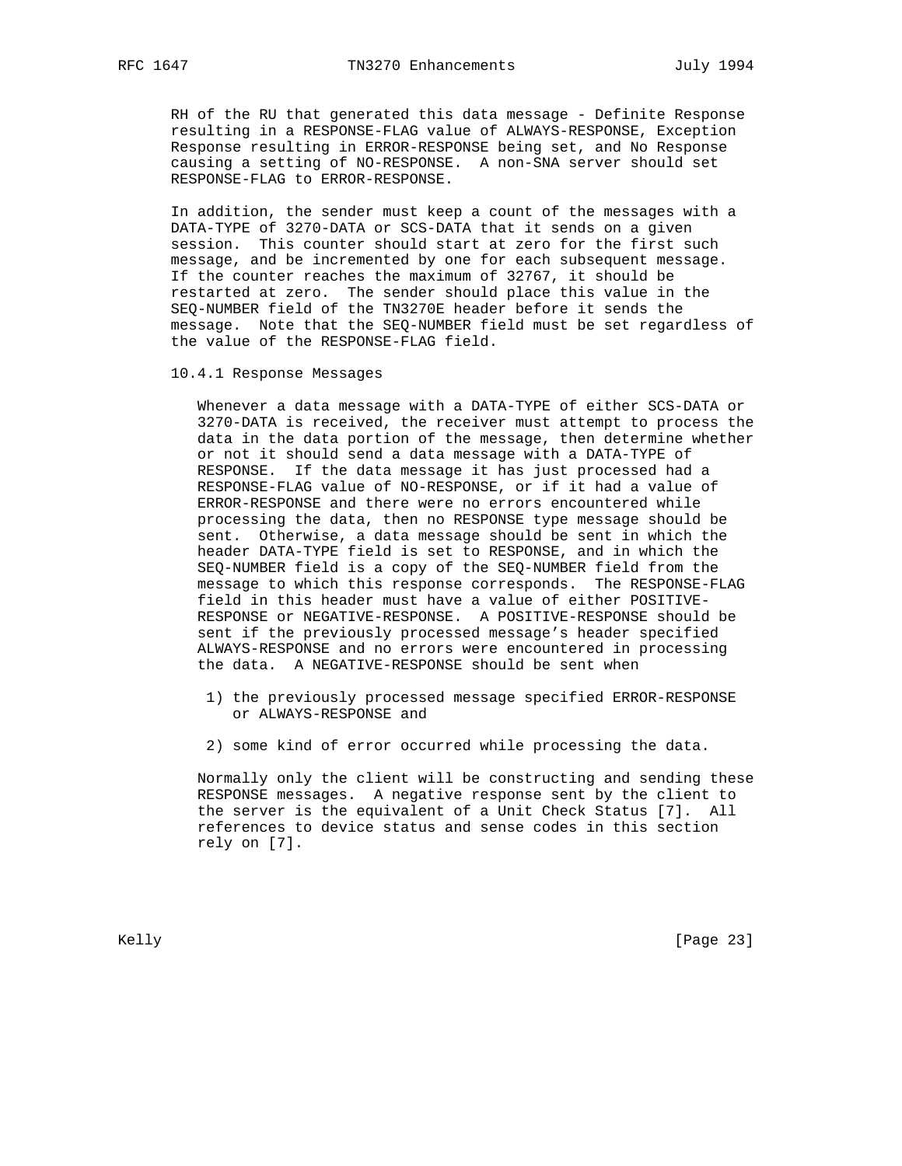RH of the RU that generated this data message - Definite Response resulting in a RESPONSE-FLAG value of ALWAYS-RESPONSE, Exception Response resulting in ERROR-RESPONSE being set, and No Response causing a setting of NO-RESPONSE. A non-SNA server should set RESPONSE-FLAG to ERROR-RESPONSE.

 In addition, the sender must keep a count of the messages with a DATA-TYPE of 3270-DATA or SCS-DATA that it sends on a given session. This counter should start at zero for the first such message, and be incremented by one for each subsequent message. If the counter reaches the maximum of 32767, it should be restarted at zero. The sender should place this value in the SEQ-NUMBER field of the TN3270E header before it sends the message. Note that the SEQ-NUMBER field must be set regardless of the value of the RESPONSE-FLAG field.

10.4.1 Response Messages

 Whenever a data message with a DATA-TYPE of either SCS-DATA or 3270-DATA is received, the receiver must attempt to process the data in the data portion of the message, then determine whether or not it should send a data message with a DATA-TYPE of RESPONSE. If the data message it has just processed had a RESPONSE-FLAG value of NO-RESPONSE, or if it had a value of ERROR-RESPONSE and there were no errors encountered while processing the data, then no RESPONSE type message should be sent. Otherwise, a data message should be sent in which the header DATA-TYPE field is set to RESPONSE, and in which the SEQ-NUMBER field is a copy of the SEQ-NUMBER field from the message to which this response corresponds. The RESPONSE-FLAG field in this header must have a value of either POSITIVE- RESPONSE or NEGATIVE-RESPONSE. A POSITIVE-RESPONSE should be sent if the previously processed message's header specified ALWAYS-RESPONSE and no errors were encountered in processing the data. A NEGATIVE-RESPONSE should be sent when

- 1) the previously processed message specified ERROR-RESPONSE or ALWAYS-RESPONSE and
- 2) some kind of error occurred while processing the data.

 Normally only the client will be constructing and sending these RESPONSE messages. A negative response sent by the client to the server is the equivalent of a Unit Check Status [7]. All references to device status and sense codes in this section rely on [7].

Kelly [Page 23]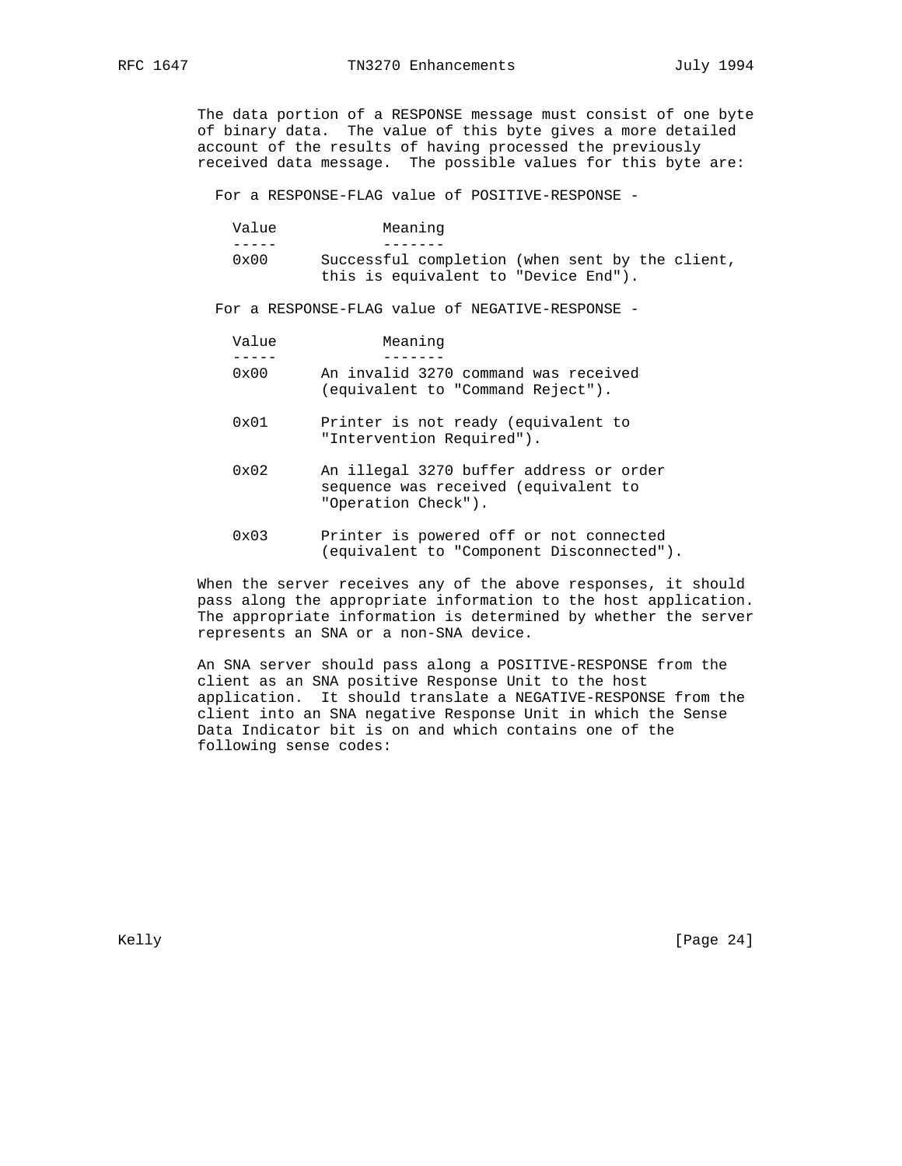The data portion of a RESPONSE message must consist of one byte of binary data. The value of this byte gives a more detailed account of the results of having processed the previously received data message. The possible values for this byte are:

For a RESPONSE-FLAG value of POSITIVE-RESPONSE -

| Value         | Meaning                              |                                                 |
|---------------|--------------------------------------|-------------------------------------------------|
|               |                                      |                                                 |
| $0 \times 00$ |                                      | Successful completion (when sent by the client, |
|               | this is equivalent to "Device End"). |                                                 |

For a RESPONSE-FLAG value of NEGATIVE-RESPONSE -

| Value         | Meaning                              |
|---------------|--------------------------------------|
|               |                                      |
| $0 \times 00$ | An invalid 3270 command was received |
|               | (equivalent to "Command Reject").    |

- 0x01 Printer is not ready (equivalent to "Intervention Required").
- 0x02 An illegal 3270 buffer address or order sequence was received (equivalent to "Operation Check").
- 0x03 Printer is powered off or not connected (equivalent to "Component Disconnected").

 When the server receives any of the above responses, it should pass along the appropriate information to the host application. The appropriate information is determined by whether the server represents an SNA or a non-SNA device.

 An SNA server should pass along a POSITIVE-RESPONSE from the client as an SNA positive Response Unit to the host application. It should translate a NEGATIVE-RESPONSE from the client into an SNA negative Response Unit in which the Sense Data Indicator bit is on and which contains one of the following sense codes: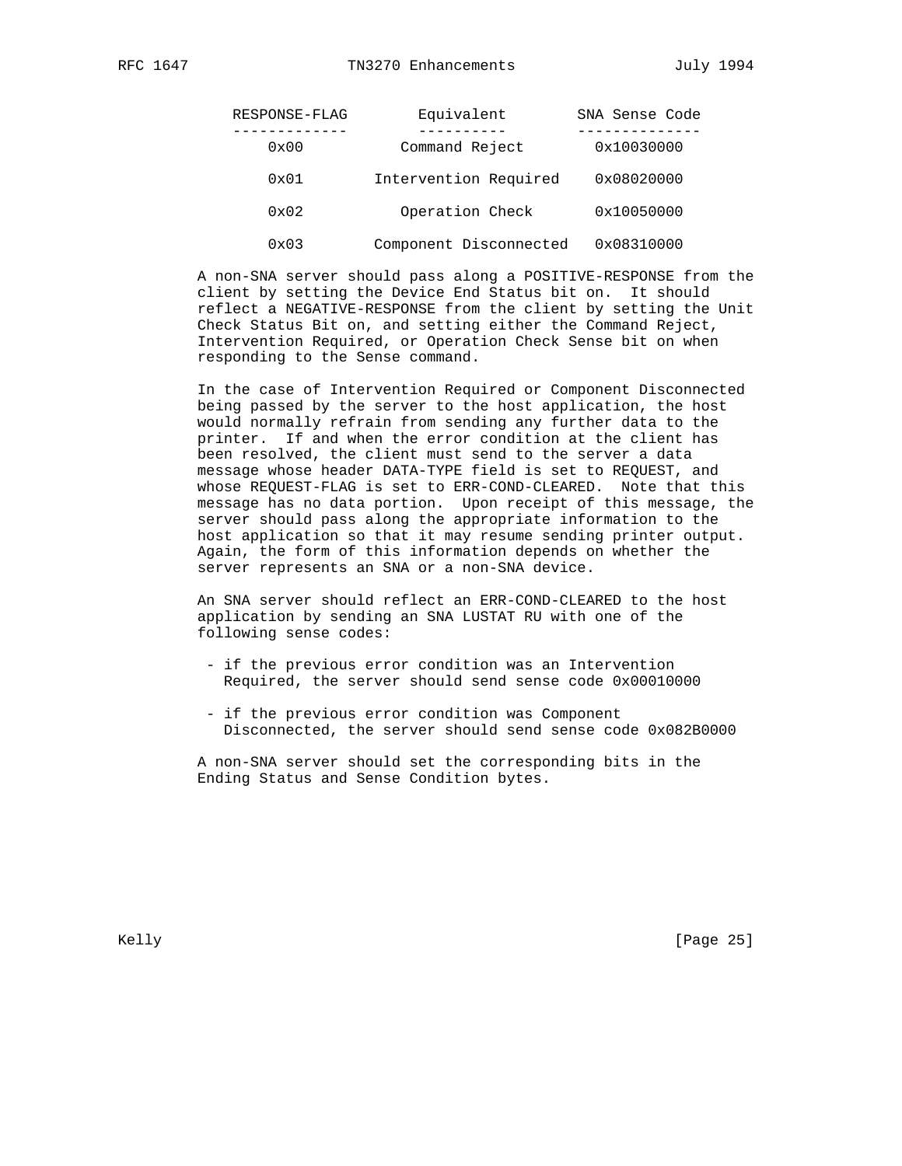| RESPONSE-FLAG | Equivalent             | SNA Sense Code |
|---------------|------------------------|----------------|
| 0x00          | Command Reject         | 0x10030000     |
| $0 \times 01$ | Intervention Required  | 0x08020000     |
| $0 \times 02$ | Operation Check        | 0x10050000     |
| $0 \times 03$ | Component Disconnected | 0x08310000     |

 A non-SNA server should pass along a POSITIVE-RESPONSE from the client by setting the Device End Status bit on. It should reflect a NEGATIVE-RESPONSE from the client by setting the Unit Check Status Bit on, and setting either the Command Reject, Intervention Required, or Operation Check Sense bit on when responding to the Sense command.

 In the case of Intervention Required or Component Disconnected being passed by the server to the host application, the host would normally refrain from sending any further data to the printer. If and when the error condition at the client has been resolved, the client must send to the server a data message whose header DATA-TYPE field is set to REQUEST, and whose REQUEST-FLAG is set to ERR-COND-CLEARED. Note that this message has no data portion. Upon receipt of this message, the server should pass along the appropriate information to the host application so that it may resume sending printer output. Again, the form of this information depends on whether the server represents an SNA or a non-SNA device.

 An SNA server should reflect an ERR-COND-CLEARED to the host application by sending an SNA LUSTAT RU with one of the following sense codes:

- if the previous error condition was an Intervention Required, the server should send sense code 0x00010000
- if the previous error condition was Component Disconnected, the server should send sense code 0x082B0000

 A non-SNA server should set the corresponding bits in the Ending Status and Sense Condition bytes.

Kelly [Page 25]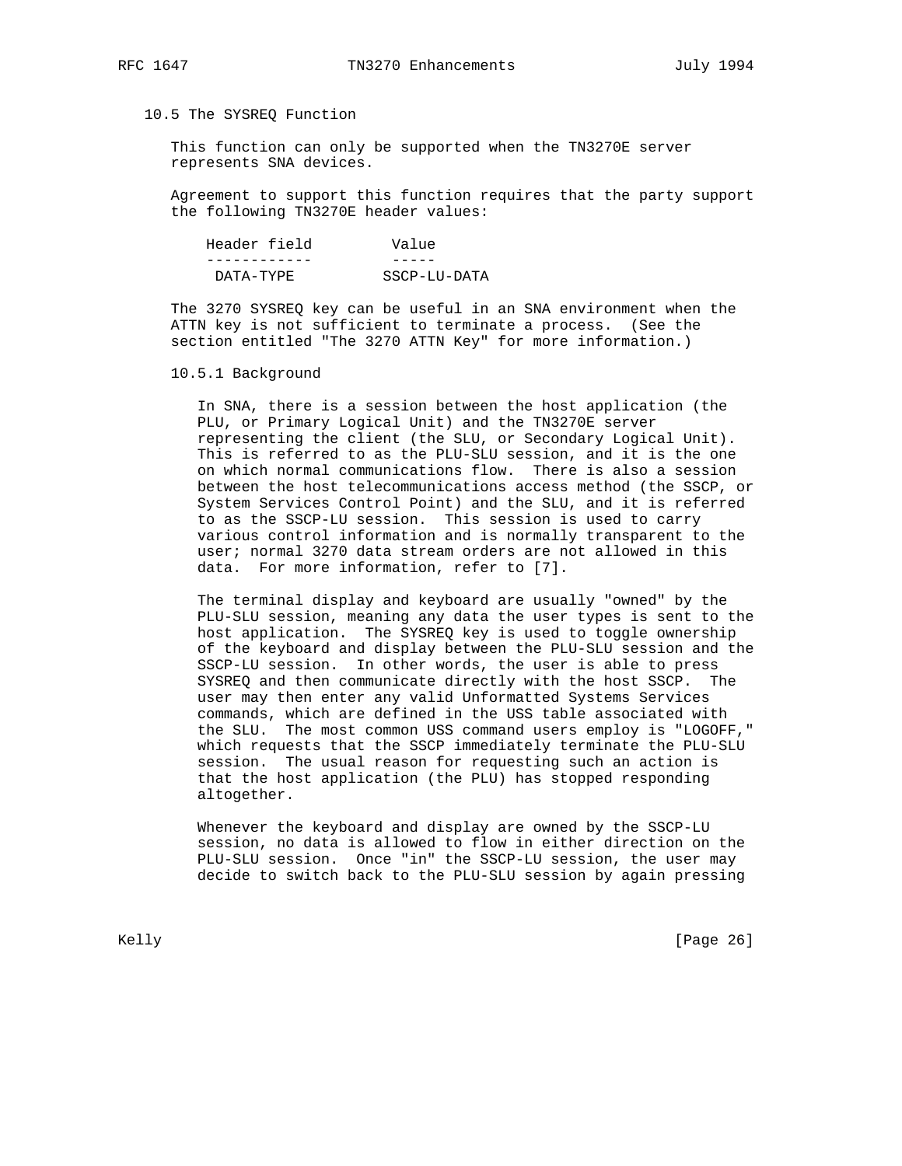## 10.5 The SYSREQ Function

 This function can only be supported when the TN3270E server represents SNA devices.

 Agreement to support this function requires that the party support the following TN3270E header values:

| Header field | Value        |
|--------------|--------------|
|              |              |
| DATA-TYPF.   | SSCP-LU-DATA |

 The 3270 SYSREQ key can be useful in an SNA environment when the ATTN key is not sufficient to terminate a process. (See the section entitled "The 3270 ATTN Key" for more information.)

### 10.5.1 Background

 In SNA, there is a session between the host application (the PLU, or Primary Logical Unit) and the TN3270E server representing the client (the SLU, or Secondary Logical Unit). This is referred to as the PLU-SLU session, and it is the one on which normal communications flow. There is also a session between the host telecommunications access method (the SSCP, or System Services Control Point) and the SLU, and it is referred to as the SSCP-LU session. This session is used to carry various control information and is normally transparent to the user; normal 3270 data stream orders are not allowed in this data. For more information, refer to [7].

 The terminal display and keyboard are usually "owned" by the PLU-SLU session, meaning any data the user types is sent to the host application. The SYSREQ key is used to toggle ownership of the keyboard and display between the PLU-SLU session and the SSCP-LU session. In other words, the user is able to press SYSREQ and then communicate directly with the host SSCP. The user may then enter any valid Unformatted Systems Services commands, which are defined in the USS table associated with the SLU. The most common USS command users employ is "LOGOFF," which requests that the SSCP immediately terminate the PLU-SLU session. The usual reason for requesting such an action is that the host application (the PLU) has stopped responding altogether.

 Whenever the keyboard and display are owned by the SSCP-LU session, no data is allowed to flow in either direction on the PLU-SLU session. Once "in" the SSCP-LU session, the user may decide to switch back to the PLU-SLU session by again pressing

Kelly [Page 26]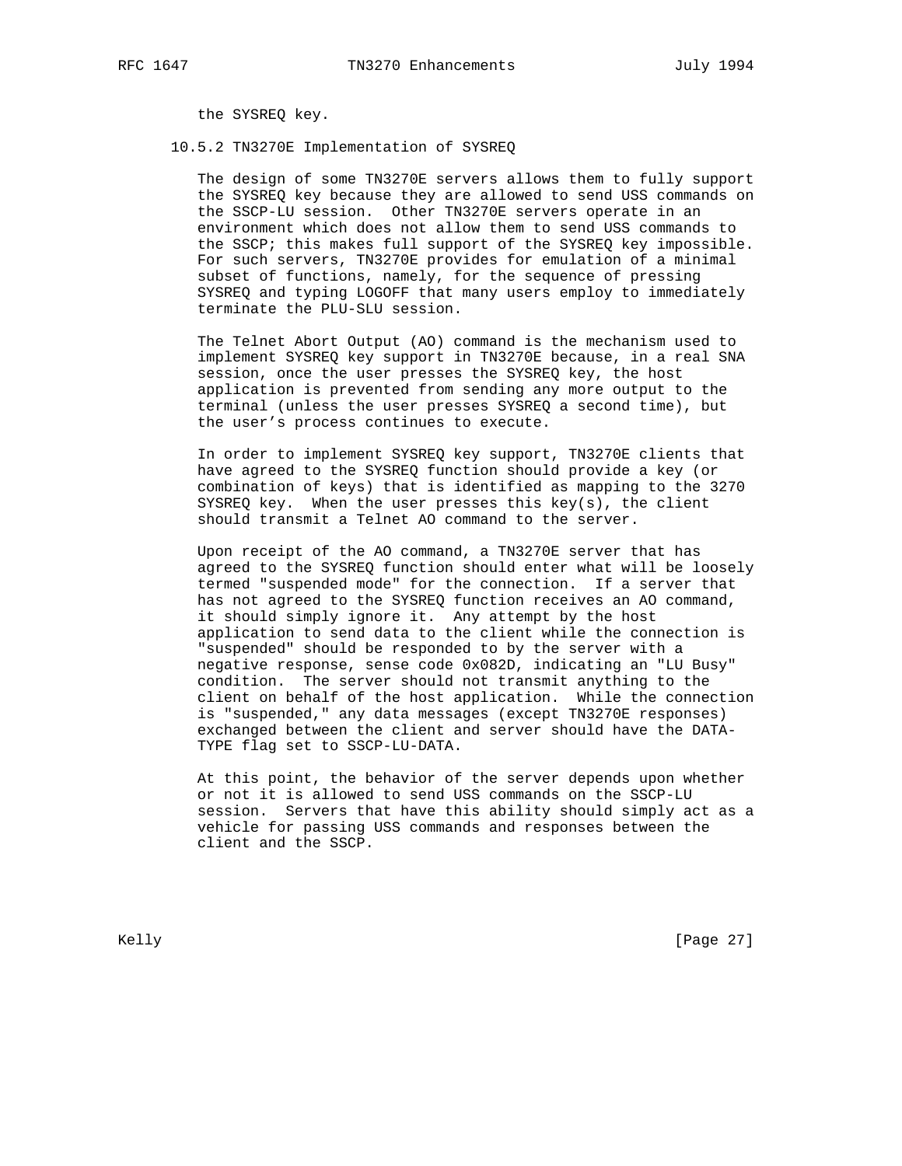the SYSREQ key.

### 10.5.2 TN3270E Implementation of SYSREQ

 The design of some TN3270E servers allows them to fully support the SYSREQ key because they are allowed to send USS commands on the SSCP-LU session. Other TN3270E servers operate in an environment which does not allow them to send USS commands to the SSCP; this makes full support of the SYSREQ key impossible. For such servers, TN3270E provides for emulation of a minimal subset of functions, namely, for the sequence of pressing SYSREQ and typing LOGOFF that many users employ to immediately terminate the PLU-SLU session.

 The Telnet Abort Output (AO) command is the mechanism used to implement SYSREQ key support in TN3270E because, in a real SNA session, once the user presses the SYSREQ key, the host application is prevented from sending any more output to the terminal (unless the user presses SYSREQ a second time), but the user's process continues to execute.

 In order to implement SYSREQ key support, TN3270E clients that have agreed to the SYSREQ function should provide a key (or combination of keys) that is identified as mapping to the 3270 SYSREQ key. When the user presses this key(s), the client should transmit a Telnet AO command to the server.

 Upon receipt of the AO command, a TN3270E server that has agreed to the SYSREQ function should enter what will be loosely termed "suspended mode" for the connection. If a server that has not agreed to the SYSREQ function receives an AO command, it should simply ignore it. Any attempt by the host application to send data to the client while the connection is "suspended" should be responded to by the server with a negative response, sense code 0x082D, indicating an "LU Busy" condition. The server should not transmit anything to the client on behalf of the host application. While the connection is "suspended," any data messages (except TN3270E responses) exchanged between the client and server should have the DATA- TYPE flag set to SSCP-LU-DATA.

 At this point, the behavior of the server depends upon whether or not it is allowed to send USS commands on the SSCP-LU session. Servers that have this ability should simply act as a vehicle for passing USS commands and responses between the client and the SSCP.

Kelly [Page 27]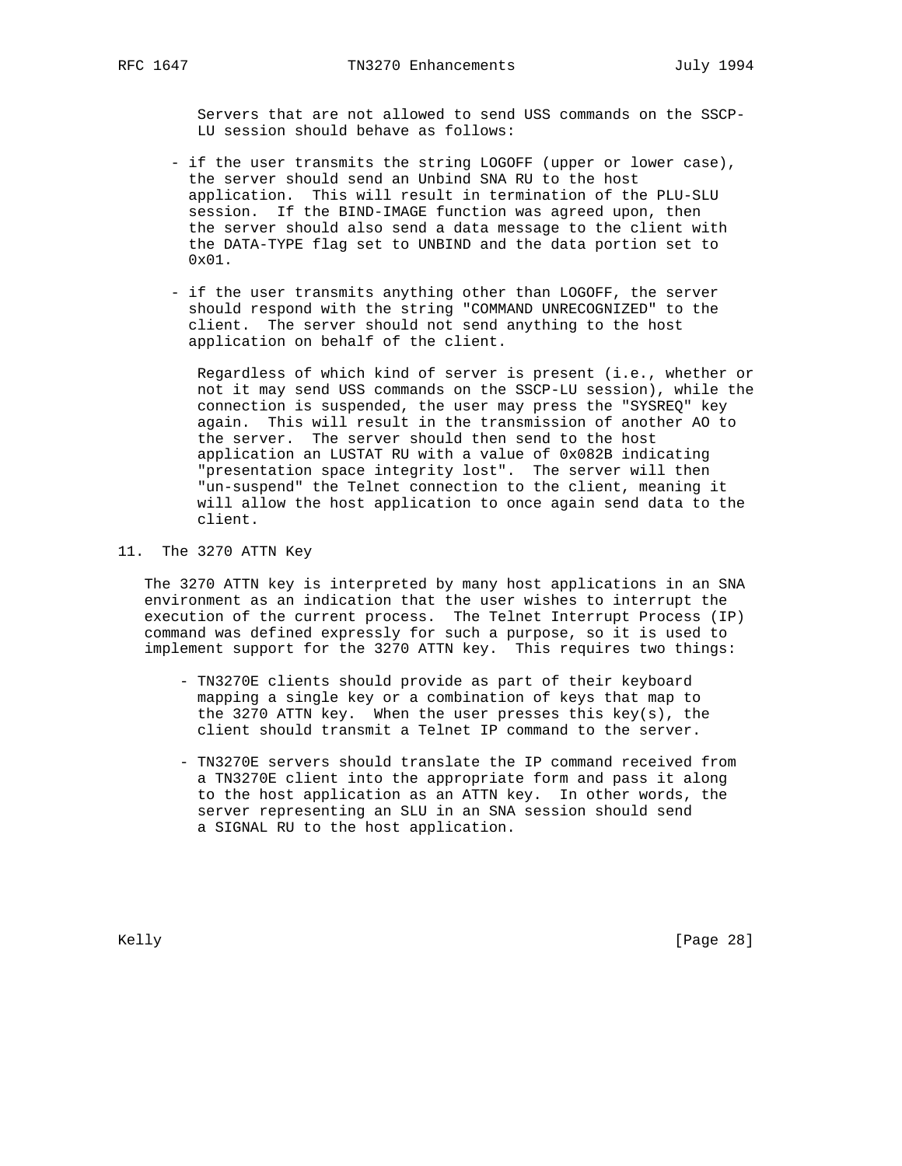Servers that are not allowed to send USS commands on the SSCP- LU session should behave as follows:

- if the user transmits the string LOGOFF (upper or lower case), the server should send an Unbind SNA RU to the host application. This will result in termination of the PLU-SLU session. If the BIND-IMAGE function was agreed upon, then the server should also send a data message to the client with the DATA-TYPE flag set to UNBIND and the data portion set to 0x01.
- if the user transmits anything other than LOGOFF, the server should respond with the string "COMMAND UNRECOGNIZED" to the client. The server should not send anything to the host application on behalf of the client.

 Regardless of which kind of server is present (i.e., whether or not it may send USS commands on the SSCP-LU session), while the connection is suspended, the user may press the "SYSREQ" key again. This will result in the transmission of another AO to the server. The server should then send to the host application an LUSTAT RU with a value of 0x082B indicating "presentation space integrity lost". The server will then "un-suspend" the Telnet connection to the client, meaning it will allow the host application to once again send data to the client.

### 11. The 3270 ATTN Key

 The 3270 ATTN key is interpreted by many host applications in an SNA environment as an indication that the user wishes to interrupt the execution of the current process. The Telnet Interrupt Process (IP) command was defined expressly for such a purpose, so it is used to implement support for the 3270 ATTN key. This requires two things:

- TN3270E clients should provide as part of their keyboard mapping a single key or a combination of keys that map to the 3270 ATTN key. When the user presses this key(s), the client should transmit a Telnet IP command to the server.
- TN3270E servers should translate the IP command received from a TN3270E client into the appropriate form and pass it along to the host application as an ATTN key. In other words, the server representing an SLU in an SNA session should send a SIGNAL RU to the host application.

Kelly [Page 28]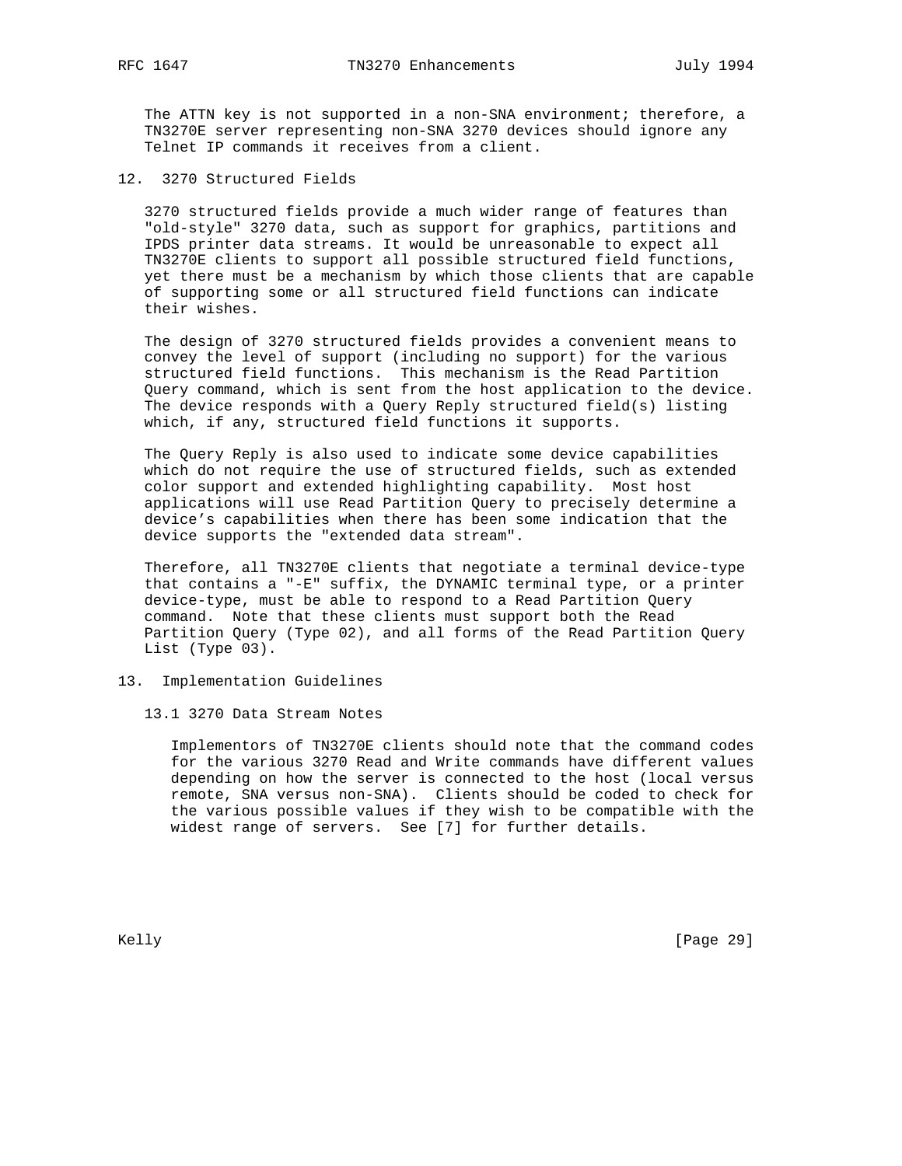The ATTN key is not supported in a non-SNA environment; therefore, a TN3270E server representing non-SNA 3270 devices should ignore any Telnet IP commands it receives from a client.

12. 3270 Structured Fields

 3270 structured fields provide a much wider range of features than "old-style" 3270 data, such as support for graphics, partitions and IPDS printer data streams. It would be unreasonable to expect all TN3270E clients to support all possible structured field functions, yet there must be a mechanism by which those clients that are capable of supporting some or all structured field functions can indicate their wishes.

 The design of 3270 structured fields provides a convenient means to convey the level of support (including no support) for the various structured field functions. This mechanism is the Read Partition Query command, which is sent from the host application to the device. The device responds with a Query Reply structured field(s) listing which, if any, structured field functions it supports.

 The Query Reply is also used to indicate some device capabilities which do not require the use of structured fields, such as extended color support and extended highlighting capability. Most host applications will use Read Partition Query to precisely determine a device's capabilities when there has been some indication that the device supports the "extended data stream".

 Therefore, all TN3270E clients that negotiate a terminal device-type that contains a "-E" suffix, the DYNAMIC terminal type, or a printer device-type, must be able to respond to a Read Partition Query command. Note that these clients must support both the Read Partition Query (Type 02), and all forms of the Read Partition Query List (Type 03).

- 13. Implementation Guidelines
	- 13.1 3270 Data Stream Notes

 Implementors of TN3270E clients should note that the command codes for the various 3270 Read and Write commands have different values depending on how the server is connected to the host (local versus remote, SNA versus non-SNA). Clients should be coded to check for the various possible values if they wish to be compatible with the widest range of servers. See [7] for further details.

Kelly [Page 29]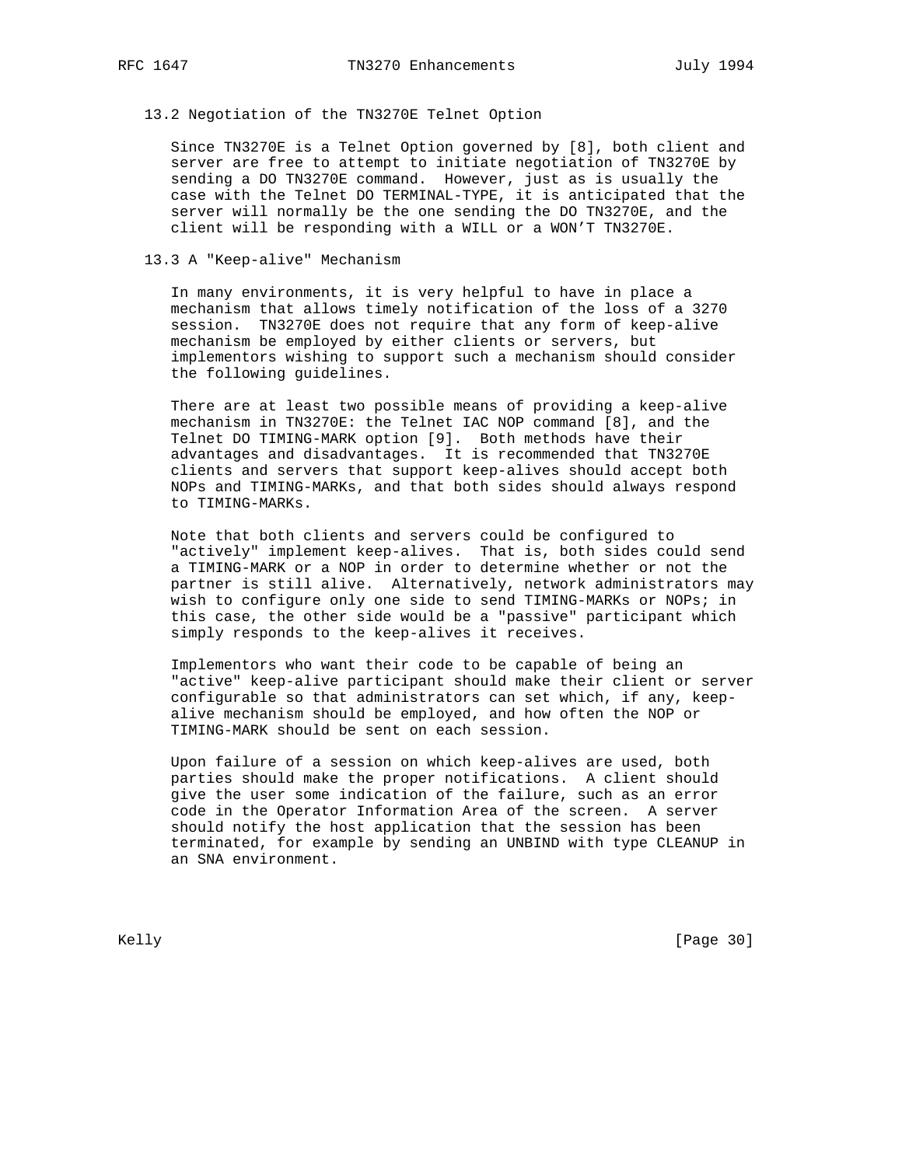# 13.2 Negotiation of the TN3270E Telnet Option

 Since TN3270E is a Telnet Option governed by [8], both client and server are free to attempt to initiate negotiation of TN3270E by sending a DO TN3270E command. However, just as is usually the case with the Telnet DO TERMINAL-TYPE, it is anticipated that the server will normally be the one sending the DO TN3270E, and the client will be responding with a WILL or a WON'T TN3270E.

### 13.3 A "Keep-alive" Mechanism

 In many environments, it is very helpful to have in place a mechanism that allows timely notification of the loss of a 3270 session. TN3270E does not require that any form of keep-alive mechanism be employed by either clients or servers, but implementors wishing to support such a mechanism should consider the following guidelines.

 There are at least two possible means of providing a keep-alive mechanism in TN3270E: the Telnet IAC NOP command [8], and the Telnet DO TIMING-MARK option [9]. Both methods have their advantages and disadvantages. It is recommended that TN3270E clients and servers that support keep-alives should accept both NOPs and TIMING-MARKs, and that both sides should always respond to TIMING-MARKs.

 Note that both clients and servers could be configured to "actively" implement keep-alives. That is, both sides could send a TIMING-MARK or a NOP in order to determine whether or not the partner is still alive. Alternatively, network administrators may wish to configure only one side to send TIMING-MARKs or NOPs; in this case, the other side would be a "passive" participant which simply responds to the keep-alives it receives.

 Implementors who want their code to be capable of being an "active" keep-alive participant should make their client or server configurable so that administrators can set which, if any, keep alive mechanism should be employed, and how often the NOP or TIMING-MARK should be sent on each session.

 Upon failure of a session on which keep-alives are used, both parties should make the proper notifications. A client should give the user some indication of the failure, such as an error code in the Operator Information Area of the screen. A server should notify the host application that the session has been terminated, for example by sending an UNBIND with type CLEANUP in an SNA environment.

Kelly [Page 30]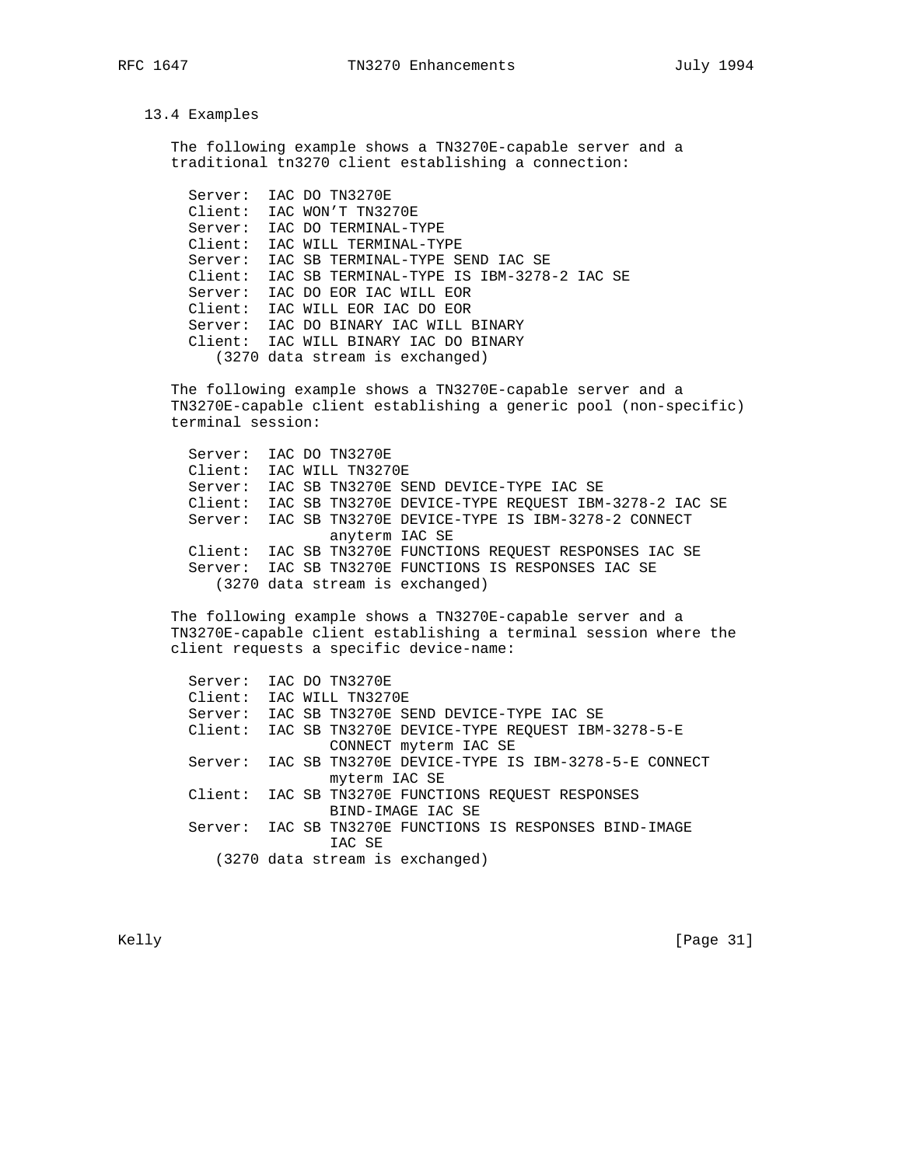### 13.4 Examples

 The following example shows a TN3270E-capable server and a traditional tn3270 client establishing a connection:

 Server: IAC DO TN3270E Client: IAC WON'T TN3270E Server: IAC DO TERMINAL-TYPE Client: IAC WILL TERMINAL-TYPE Server: IAC SB TERMINAL-TYPE SEND IAC SE Client: IAC SB TERMINAL-TYPE IS IBM-3278-2 IAC SE Server: IAC DO EOR IAC WILL EOR Client: IAC WILL EOR IAC DO EOR Server: IAC DO BINARY IAC WILL BINARY Client: IAC WILL BINARY IAC DO BINARY (3270 data stream is exchanged)

 The following example shows a TN3270E-capable server and a TN3270E-capable client establishing a generic pool (non-specific) terminal session:

 Server: IAC DO TN3270E Client: IAC WILL TN3270E Server: IAC SB TN3270E SEND DEVICE-TYPE IAC SE Client: IAC SB TN3270E DEVICE-TYPE REQUEST IBM-3278-2 IAC SE Server: IAC SB TN3270E DEVICE-TYPE IS IBM-3278-2 CONNECT anyterm IAC SE Client: IAC SB TN3270E FUNCTIONS REQUEST RESPONSES IAC SE Server: IAC SB TN3270E FUNCTIONS IS RESPONSES IAC SE (3270 data stream is exchanged)

 The following example shows a TN3270E-capable server and a TN3270E-capable client establishing a terminal session where the client requests a specific device-name:

 Server: IAC DO TN3270E Client: IAC WILL TN3270E Server: IAC SB TN3270E SEND DEVICE-TYPE IAC SE Client: IAC SB TN3270E DEVICE-TYPE REQUEST IBM-3278-5-E CONNECT myterm IAC SE Server: IAC SB TN3270E DEVICE-TYPE IS IBM-3278-5-E CONNECT myterm IAC SE Client: IAC SB TN3270E FUNCTIONS REQUEST RESPONSES BIND-IMAGE IAC SE Server: IAC SB TN3270E FUNCTIONS IS RESPONSES BIND-IMAGE IAC SE (3270 data stream is exchanged)

Kelly [Page 31]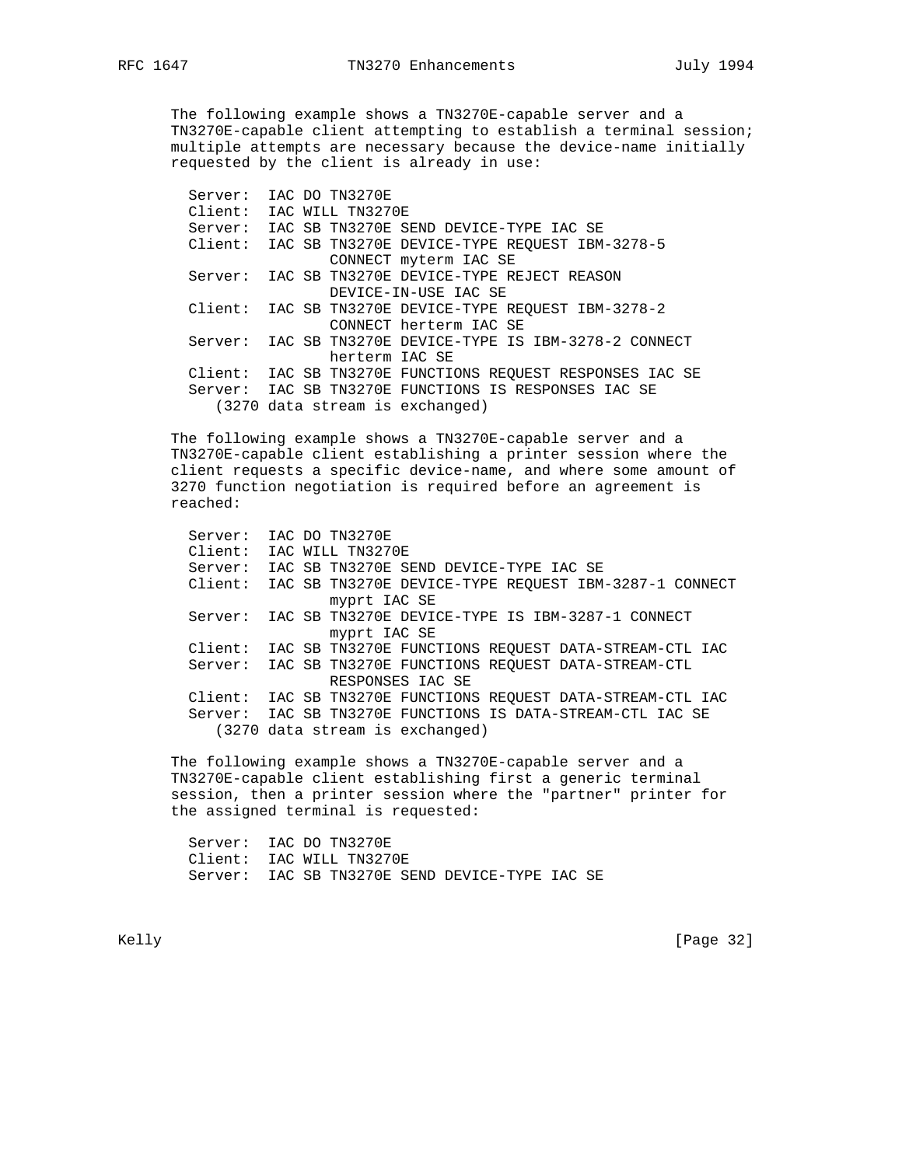The following example shows a TN3270E-capable server and a TN3270E-capable client attempting to establish a terminal session; multiple attempts are necessary because the device-name initially requested by the client is already in use:

 Server: IAC DO TN3270E Client: IAC WILL TN3270E Server: IAC SB TN3270E SEND DEVICE-TYPE IAC SE Client: IAC SB TN3270E DEVICE-TYPE REQUEST IBM-3278-5 CONNECT myterm IAC SE Server: IAC SB TN3270E DEVICE-TYPE REJECT REASON DEVICE-IN-USE IAC SE Client: IAC SB TN3270E DEVICE-TYPE REQUEST IBM-3278-2 CONNECT herterm IAC SE Server: IAC SB TN3270E DEVICE-TYPE IS IBM-3278-2 CONNECT herterm IAC SE Client: IAC SB TN3270E FUNCTIONS REQUEST RESPONSES IAC SE Server: IAC SB TN3270E FUNCTIONS IS RESPONSES IAC SE (3270 data stream is exchanged)

 The following example shows a TN3270E-capable server and a TN3270E-capable client establishing a printer session where the client requests a specific device-name, and where some amount of 3270 function negotiation is required before an agreement is reached:

 Server: IAC DO TN3270E Client: IAC WILL TN3270E Server: IAC SB TN3270E SEND DEVICE-TYPE IAC SE Client: IAC SB TN3270E DEVICE-TYPE REQUEST IBM-3287-1 CONNECT myprt IAC SE Server: IAC SB TN3270E DEVICE-TYPE IS IBM-3287-1 CONNECT myprt IAC SE Client: IAC SB TN3270E FUNCTIONS REQUEST DATA-STREAM-CTL IAC Server: IAC SB TN3270E FUNCTIONS REQUEST DATA-STREAM-CTL RESPONSES IAC SE Client: IAC SB TN3270E FUNCTIONS REQUEST DATA-STREAM-CTL IAC Server: IAC SB TN3270E FUNCTIONS IS DATA-STREAM-CTL IAC SE (3270 data stream is exchanged)

 The following example shows a TN3270E-capable server and a TN3270E-capable client establishing first a generic terminal session, then a printer session where the "partner" printer for the assigned terminal is requested:

 Server: IAC DO TN3270E Client: IAC WILL TN3270E Server: IAC SB TN3270E SEND DEVICE-TYPE IAC SE

Kelly [Page 32]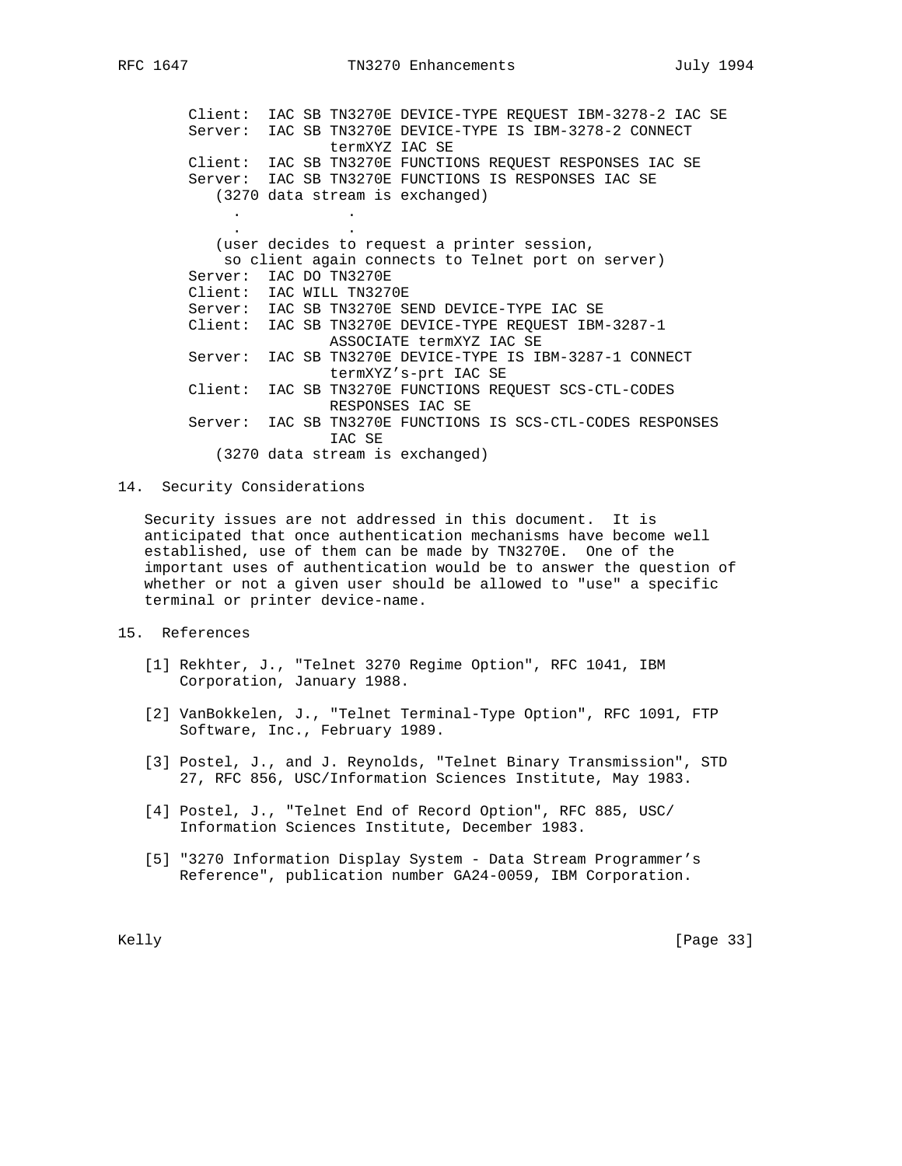Client: IAC SB TN3270E DEVICE-TYPE REQUEST IBM-3278-2 IAC SE Server: IAC SB TN3270E DEVICE-TYPE IS IBM-3278-2 CONNECT termXYZ IAC SE Client: IAC SB TN3270E FUNCTIONS REQUEST RESPONSES IAC SE Server: IAC SB TN3270E FUNCTIONS IS RESPONSES IAC SE (3270 data stream is exchanged) . . . . (user decides to request a printer session, so client again connects to Telnet port on server) Server: IAC DO TN3270E Client: IAC WILL TN3270E Server: IAC SB TN3270E SEND DEVICE-TYPE IAC SE Client: IAC SB TN3270E DEVICE-TYPE REQUEST IBM-3287-1 ASSOCIATE termXYZ IAC SE Server: IAC SB TN3270E DEVICE-TYPE IS IBM-3287-1 CONNECT termXYZ's-prt IAC SE Client: IAC SB TN3270E FUNCTIONS REQUEST SCS-CTL-CODES RESPONSES IAC SE Server: IAC SB TN3270E FUNCTIONS IS SCS-CTL-CODES RESPONSES IAC SE (3270 data stream is exchanged)

14. Security Considerations

 Security issues are not addressed in this document. It is anticipated that once authentication mechanisms have become well established, use of them can be made by TN3270E. One of the important uses of authentication would be to answer the question of whether or not a given user should be allowed to "use" a specific terminal or printer device-name.

- 15. References
	- [1] Rekhter, J., "Telnet 3270 Regime Option", RFC 1041, IBM Corporation, January 1988.
	- [2] VanBokkelen, J., "Telnet Terminal-Type Option", RFC 1091, FTP Software, Inc., February 1989.
	- [3] Postel, J., and J. Reynolds, "Telnet Binary Transmission", STD 27, RFC 856, USC/Information Sciences Institute, May 1983.
	- [4] Postel, J., "Telnet End of Record Option", RFC 885, USC/ Information Sciences Institute, December 1983.
	- [5] "3270 Information Display System Data Stream Programmer's Reference", publication number GA24-0059, IBM Corporation.

Kelly [Page 33]